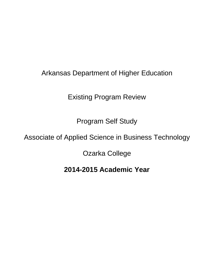## Arkansas Department of Higher Education

Existing Program Review

Program Self Study

## Associate of Applied Science in Business Technology

Ozarka College

**2014-2015 Academic Year**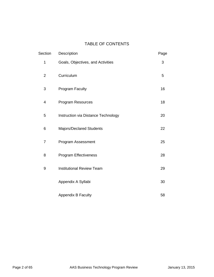## TABLE OF CONTENTS

| Section        | Description                         | Page |
|----------------|-------------------------------------|------|
| 1              | Goals, Objectives, and Activities   | 3    |
| $\overline{2}$ | Curriculum                          | 5    |
| 3              | <b>Program Faculty</b>              | 16   |
| 4              | <b>Program Resources</b>            | 18   |
| 5              | Instruction via Distance Technology | 20   |
| 6              | Majors/Declared Students            | 22   |
| $\overline{7}$ | Program Assessment                  | 25   |
| 8              | Program Effectiveness               | 28   |
| 9              | <b>Institutional Review Team</b>    | 29   |
|                | Appendix A Syllabi                  | 30   |
|                | <b>Appendix B Faculty</b>           | 58   |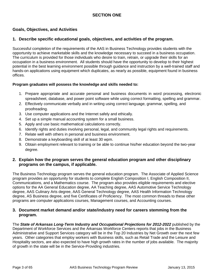## **SECTION ONE**

## **Goals, Objectives, and Activities**

## **1. Describe specific educational goals, objectives, and activities of the program.**

Successful completion of the requirements of the AAS in Business Technology provides students with the opportunity to achieve marketable skills and the knowledge necessary to succeed in a business occupation. The curriculum is provided for those individuals who desire to train, retrain, or upgrade their skills for an occupation in a business environment. All students should have the opportunity to develop to their highest potential in the best learning environment possible through guidance and instruction by a well-trained staff and hands-on applications using equipment which duplicates, as nearly as possible, equipment found in business offices.

## **Program graduates will possess the knowledge and skills needed to:**

- 1. Prepare appropriate and accurate personal and business documents in word processing, electronic spreadsheet, database, and power point software while using correct formatting, spelling and grammar.
- 2. Effectively communicate verbally and in writing using correct language, grammar, spelling, and proofreading.
- 3. Use computer applications and the Internet safely and ethically.
- 4. Set up a simple manual accounting system for a small business.
- 5. Apply and use basic mathematical calculations correctly.
- 6. Identify rights and duties involving personal, legal, and community legal rights and requirements.
- 7. Relate well with others in personal and business environment.
- 8. Demonstrate a keyboarding skill of at least 30 wpm.
- 9. Obtain employment relevant to training or be able to continue his/her education beyond the two-year degree.

## **2. Explain how the program serves the general education program and other disciplinary programs on the campus, if applicable.**

The Business Technology program serves the general education program. The Associate of Applied Science program provides an opportunity for students to complete English Composition I, English Composition II, Communications, and a Mathematics course. The program also provides eligible requirements and elective options for the AA General Education degree, AA Teaching degree, AAS Automotive Service Technology degree, AAS Culinary Arts degree, AAS General Technology degree, AAS Health Information Technology degree, AS Business degree, and five Certificates of Proficiency. The most common threads to these other programs are computer applications courses, Management courses, and Accounting courses.

## **3. Document market demand and/or state/industry need for careers stemming from the program.**

The *State of Arkansas Long-Term Industry and Occupational Projections for 2012-2022* published by the Department of Workforce Services and the Arkansas Workforce Centers reports that jobs in the Business Administrative and Support Services category will be in the Top 20 Industries by Net Growth over the next few years. Other categories that employ workers with Business skills, such as Retail Trade and the Leisure and Hospitality sectors, are also expected to have high growth rates in the number of jobs available. The majority of growth in the state will be in the Service-Providing industries.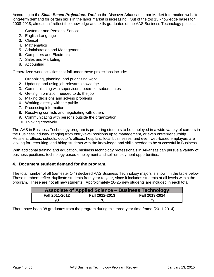According to the *Skills-Based Projections Tool* on the Discover Arkansas Labor Market Information website, long-term demand for certain skills in the labor market is increasing. Out of the top 15 knowledge bases for 2008-2018, almost half reflect the knowledge and skills graduates of the AAS Business Technology possess.

- 1. Customer and Personal Service
- 2. English Language
- 3. Clerical
- 4. Mathematics
- 5. Administration and Management
- 6. Computers and Electronics
- 7. Sales and Marketing
- 8. Accounting

Generalized work activities that fall under these projections include:

- 1. Organizing, planning, and prioritizing work
- 2. Updating and using job-relevant knowledge
- 3. Communicating with supervisors, peers, or subordinates
- 4. Getting information needed to do the job
- 5. Making decisions and solving problems
- 6. Working directly with the public
- 7. Processing information
- 8. Resolving conflicts and negotiating with others
- 9. Communicating with persons outside the organization
- 10. Thinking creatively

The AAS in Business Technology program is preparing students to be employed in a wide variety of careers in the Business industry, ranging from entry-level positions up to management, or even entrepreneurship. Retailers, offices, schools, doctor's offices, hospitals, local businesses, and even web-based employers are looking for, recruiting, and hiring students with the knowledge and skills needed to be successful in Business.

With additional training and education, business technology professionals in Arkansas can pursue a variety of business positions, technology based employment and self-employment opportunities.

## **4. Document student demand for the program.**

The total number of all (semester 1-4) declared AAS Business Technology majors is shown in the table below These numbers reflect duplicate students from year to year, since it includes students at all levels within the program. These are not all new students. Approximately 20-25 new students are included in each total.

| <b>Associate of Applied Science – Business Technology</b> |                |                |  |
|-----------------------------------------------------------|----------------|----------------|--|
| Fall 2011-2012                                            | Fall 2012-2013 | Fall 2013-2014 |  |
| 93                                                        |                | 79             |  |

There have been 38 graduates from the program during this three-year time frame (2011-2014).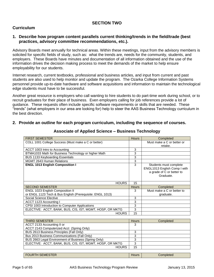## **SECTION TWO**

## **Curriculum**

## **1. Describe how program content parallels current thinking/trends in the field/trade (best practices, advisory committee recommendations, etc.).**

Advisory Boards meet annually for technical areas. Within these meetings, input from the advisory members is solicited for specific fields of study, such as: what the trends are, needs for the community, students, and employers. These Boards have minutes and documentation of all information obtained and the use of the information drives the decision making process to meet the demands of the market to help ensure employability for our students.

Internet research, current textbooks, professional and business articles, and input from current and past students are also used to help monitor and update the program. The Ozarka College Information Systems personnel provide up-to-date hardware and software acquisitions and information to maintain the technological edge students must have to be successful.

Another great resource is employers who call wanting to hire students to do part-time work during school, or to recruit graduates for their place of business. Even employers calling for job references provide a lot of guidance. These requests often include specific software requirements or skills that are needed. These "trends" (what employers in our area are looking for) help to steer the AAS Business Technology curriculum in the best direction.

## **2. Provide an outline for each program curriculum, including the sequence of courses.**

| <b>FIRST SEMESTER</b>                                     | <b>Hours</b> | Completed                                                                                        |
|-----------------------------------------------------------|--------------|--------------------------------------------------------------------------------------------------|
| COLL 1001 College Success (Must make a C or better)       |              | Must make a C or better or                                                                       |
|                                                           |              | retake.                                                                                          |
| ACCT 1003 Intro to Accounting                             | 3            |                                                                                                  |
| BTMA1033 Math for Business Technology or higher Math      | 3            |                                                                                                  |
| BUS 1133 Keyboarding Essentials                           | 3            |                                                                                                  |
| <b>MGMT 2643 Human Relations</b>                          | 3            |                                                                                                  |
| <b>ENGL 1013 English Composition I</b>                    | 3            | Students must complete<br>ENGL1013 English Comp I with<br>a grade of C or better to<br>Graduate. |
| <b>HOURS</b>                                              | 15           |                                                                                                  |
| <b>SECOND SEMESTER</b>                                    | <b>Hours</b> | Completed                                                                                        |
| ENGL 1023 English Composition II                          | 3            | Must make a C or better to                                                                       |
| or ENGL 1123 Tech & Bus English (Prerequisite: ENGL 1013) |              | graduate.                                                                                        |
| Social Science Elective                                   | 3            |                                                                                                  |
| ACCT 1123 Accounting I                                    | 3            |                                                                                                  |
| CPSI 1003 Introduction to Computer Applications           | 3            |                                                                                                  |
| ELECTIVE: ACCT, BANK, BUS, CIS, IST, MGMT, HOSP, OR MKTG  | 3            |                                                                                                  |
| <b>HOURS</b>                                              | 15           |                                                                                                  |

## **Associate of Applied Science – Business Technology**

| l THIRD SEMESTER                                         | <b>Hours</b> | Completed |
|----------------------------------------------------------|--------------|-----------|
| ACCT 2133 Accounting II or                               | 3            |           |
| ACCT 2143 Computerized Acct (Spring Only)                |              |           |
| BUS 2613 Business Principles (Fall Only)                 | っ            |           |
| Bus 2013 Business Communications (Fall Only)             | 3            |           |
| BUS 2663 Legal Environment of Business (Spring Only)     | 2            |           |
| ELECTIVE: ACCT, BANK, BUS, CIS, IST, MGMT, HOSP, OR MKTG | 3            |           |
| <b>HOURS</b>                                             | 15           |           |

FOURTH SEMESTER HOURS AND THE SERVICE SERVICE SERVICE SERVICE SERVICE SERVICE SERVICE SERVICE SERVICE SERVICE S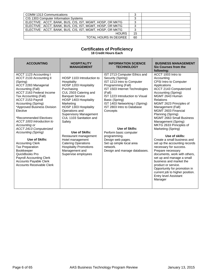| COMM 1313 Communications                                 |    |  |
|----------------------------------------------------------|----|--|
| CIS 1303 Computer Information Systems                    | ົ  |  |
| ELECTIVE: ACCT, BANK, BUS, CIS, IST, MGMT, HOSP, OR MKTG |    |  |
| ELECTIVE: ACCT, BANK, BUS, CIS, IST, MGMT, HOSP, OR MKTG |    |  |
| ELECTIVE: ACCT, BANK, BUS, CIS, IST, MGMT, HOSP, OR MKTG | ◠  |  |
| <b>HOURS</b>                                             | 15 |  |
| TOTAL HOURS IN DEGREE                                    | 60 |  |

### **Certificates of Proficiency 18 Credit Hours Each**

| <b>ACCOUNTING</b>                                                                                                                                                                                                                                                                                                                                                                                                                                                                                                                                                                               | <b>HOSPITALITY</b><br><b>MANAGEMENT</b>                                                                                                                                                                                                                                                                                                                                                                                                                          | <b>INFORMATION SCIENCE</b><br><b>TECHNOLOGY</b>                                                                                                                                                                                                                                                                                                                                                                                             | <b>BUSINESS MANAGEMENT</b><br><b>Six Courses from the</b><br>following:                                                                                                                                                                                                                                                                                                                                                                                                                                                                                                                                                                                                                                                                 |
|-------------------------------------------------------------------------------------------------------------------------------------------------------------------------------------------------------------------------------------------------------------------------------------------------------------------------------------------------------------------------------------------------------------------------------------------------------------------------------------------------------------------------------------------------------------------------------------------------|------------------------------------------------------------------------------------------------------------------------------------------------------------------------------------------------------------------------------------------------------------------------------------------------------------------------------------------------------------------------------------------------------------------------------------------------------------------|---------------------------------------------------------------------------------------------------------------------------------------------------------------------------------------------------------------------------------------------------------------------------------------------------------------------------------------------------------------------------------------------------------------------------------------------|-----------------------------------------------------------------------------------------------------------------------------------------------------------------------------------------------------------------------------------------------------------------------------------------------------------------------------------------------------------------------------------------------------------------------------------------------------------------------------------------------------------------------------------------------------------------------------------------------------------------------------------------------------------------------------------------------------------------------------------------|
| ACCT 1123 Accounting I<br>ACCT 2133 Accounting II<br>(Spring)<br>ACCT 2283 Managerial<br>Accounting (Fall)<br>ACCT 2163 Federal Income<br>Tax Accounting (Fall)<br>ACCT 2153 Payroll<br>Accounting (Spring)<br>*Approved Business Division<br>Elective<br>*Recommended Electives:<br>ACCT 1003 Introduction to<br>Accounting or<br>ACCT 2413 Computerized<br><b>Accounting (Spring)</b><br>Use of Skills:<br><b>Accounting Clerk</b><br><b>Tax Preparation</b><br><b>Bookkeeper</b><br>QuickBooks Pro<br><b>Payroll Accounting Clerk</b><br>Accounts Payable Clerk<br>Accounts Receivable Clerk | HOSP 1103 Introduction to<br>Hospitality<br>HOSP 1203 Hospitality<br>Purchasing<br>CUL 2503 Catering and<br><b>Banquet Service</b><br>HOSP 1403 Hospitality<br>Marketing<br>HOSP 1303 Hospitality<br>Operations and<br><b>Supervisory Management</b><br>CUL 1103 Sanitation and<br>Safety<br>Use of Skills:<br>Restaurant management<br>Hotel management<br><b>Catering Operations</b><br><b>Hospitality Promotions</b><br>Management and<br>Supervise employees | IST 2713 Computer Ethics and<br>Security (Spring)<br>IST 1213 Intro to Computer<br>Programming (Fall)<br>IST 1503 Internet Technologies<br>(Fall)<br>IST 1223 Introduction to Visual<br>Basic (Spring)<br>IST 1403 Networking I (Spring)<br>IST 2803 Intro to Database<br>Concepts<br>Use of Skills:<br>Perform basic computer<br>programming.<br>Design web pages.<br>Set up simple local area<br>network.<br>Design and manage databases. | ACCT 1003 Intro to<br>Accounting<br><b>CPSI Intro to Computer</b><br>Applications<br>ACCT 2143 Computerized<br>Accounting (Spring)<br>MGMT 2643 Human<br>Relations<br>MGMT 2623 Principles of<br>Management (Fall)<br>MGMT 2603 Financial<br>Planning (Spring)<br><b>MGMT 2663 Small Business</b><br>Management (Spring)<br>MKTG 2633 Principles of<br>Marketing (Spring)<br>Use of skills:<br>Create a small business and<br>set up the accounting records<br>necessary for success.<br>Prepare necessary<br>documents, work with others,<br>set up and manage a small<br>business and market the<br>product or service.<br>Opportunity for promotion in<br>current job to higher position.<br><b>Entry level Assistant</b><br>Manager |
|                                                                                                                                                                                                                                                                                                                                                                                                                                                                                                                                                                                                 |                                                                                                                                                                                                                                                                                                                                                                                                                                                                  |                                                                                                                                                                                                                                                                                                                                                                                                                                             |                                                                                                                                                                                                                                                                                                                                                                                                                                                                                                                                                                                                                                                                                                                                         |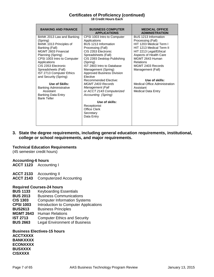### **Certificates of Proficiency (continued) 18 Credit Hours Each**

| <b>BANKING AND FINANCE</b>               | <b>BUSINESS COMPUTER</b><br><b>APPLICATIONS</b> | <b>MEDICAL OFFICE</b><br><b>ADMINISTRATION</b> |
|------------------------------------------|-------------------------------------------------|------------------------------------------------|
| BANK 2013 Law and Banking                | CPSI 1003 Intro to Computer                     | BUS 1213 Information                           |
| (Spring)                                 | Applications                                    | Processing (Fall)                              |
| BANK 1013 Principles of                  | BUS 1213 Information                            | HIT 1203 Medical Term I                        |
| Banking (Fall)                           | Processing (Fall)                               | HIT 1213 Medical Term II                       |
| MGMT 2603 Financial                      | CIS 2353 Electronic                             | HIT 2213 Legal/Ethical                         |
| Planning (Spring)                        | Spreadsheets (Fall)                             | Aspects of Health Care                         |
| CPSI 1003 Intro to Computer              | CIS 2393 Desktop Publishing                     | MGMT 2643 Human                                |
| Applications                             | (Spring)                                        | Relations                                      |
| CIS 2353 Electronic                      | IST 2803 Intro to Database                      | MGMT 2403 Records                              |
| Spreadsheets (Fall)                      | Management (Spring)                             | Management (Fall)                              |
| IST 2713 Computer Ethics                 | Approved Business Division                      |                                                |
| and Security (Spring)                    | <b>Elective</b>                                 |                                                |
|                                          | <b>Recommended Elective:</b>                    | Use of skills:                                 |
| Use of Skills:                           | MGMT 2403 Records                               | Medical Office Administration                  |
| <b>Banking Administrative</b>            | Management (Fall                                | Assistant                                      |
| Assistant                                | or ACCT 2143 Computerized                       | <b>Medical Data Entry</b>                      |
| Banking Data Entry<br><b>Bank Teller</b> | Accounting (Spring)                             |                                                |
|                                          | Use of skills:                                  |                                                |
|                                          |                                                 |                                                |
|                                          | Receptionist<br><b>Office Clerk</b>             |                                                |
|                                          |                                                 |                                                |
|                                          | Secretary                                       |                                                |
|                                          | Data Entry                                      |                                                |
|                                          |                                                 |                                                |

**3. State the degree requirements, including general education requirements, institutional, college or school requirements, and major requirements.**

#### **Technical Education Requirements**

(45 semester credit hours)

## **Accounting-6 hours**

**ACCT 1123** Accounting I

**ACCT 2133** Accounting II

**ACCT 2143** Computerized Accounting

#### **Required Courses-24 hours**

- **BUS 1133** Keyboarding Essentials
- **BUS 2013** Business Communications
- **CIS 1303** Computer Information Systems
- **CPSI 1003** Introduction to Computer Applications
- **BUS2613** Business Principles
- **MGMT 2643** Human Relations
- **IST 2713** Computer Ethics and Security
- **BUS 2663** Legal Environment of Business

### **Business Electives-15 hours ACCTXXXX BANKXXXX ECONXXXX BUSXXXX CISXXXX**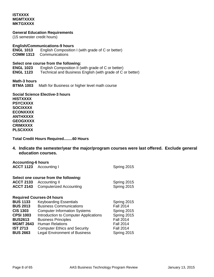## **ISTXXXX MGMTXXXX MKTGXXXX**

**General Education Requirements**

(15 semester credit hours)

#### **English/Communications-9 hours**

**ENGL 1013** English Composition I (with grade of C or better)

**COMM 1313** Communications

#### **Select one course from the following:**

**ENGL 1023** English Composition II (with grade of C or better) **ENGL 1123** Technical and Business English (with grade of C or better)

**Math-3 hours BTMA 1003** Math for Business or higher level math course

**Social Science Elective-3 hours HISTXXXX PSYCXXXX SOCIXXXX ECONXXXX ANTHXXXX GEOGXXXX CRIMXXXX PLSCXXXX**

**Total Credit Hours Required........60 Hours**

**4. Indicate the semester/year the major/program courses were last offered. Exclude general education courses.**

| <b>Accounting-6 hours</b>                                                                                       |                                                                                                                                                                                                                                             |                                                                                                       |
|-----------------------------------------------------------------------------------------------------------------|---------------------------------------------------------------------------------------------------------------------------------------------------------------------------------------------------------------------------------------------|-------------------------------------------------------------------------------------------------------|
| ACCT 1123 Accounting I                                                                                          |                                                                                                                                                                                                                                             | Spring 2015                                                                                           |
| <b>ACCT 2133</b><br><b>ACCT 2143</b>                                                                            | Select one course from the following:<br>Accounting II<br><b>Computerized Accounting</b>                                                                                                                                                    | Spring 2015<br>Spring 2015                                                                            |
| <b>BUS 1133</b><br><b>BUS 2013</b><br><b>CIS 1303</b><br><b>CPSI 1003</b><br><b>BUS2613</b><br><b>MGMT 2643</b> | <b>Required Courses-24 hours</b><br><b>Keyboarding Essentials</b><br><b>Business Communications</b><br><b>Computer Information Systems</b><br>Introduction to Computer Applications<br><b>Business Principles</b><br><b>Human Relations</b> | Spring 2015<br><b>Fall 2014</b><br>Spring 2015<br>Spring 2015<br><b>Fall 2014</b><br><b>Fall 2014</b> |
| <b>IST 2713</b><br><b>BUS 2663</b>                                                                              | <b>Computer Ethics and Security</b><br><b>Legal Environment of Business</b>                                                                                                                                                                 | <b>Fall 2014</b><br>Spring 2015                                                                       |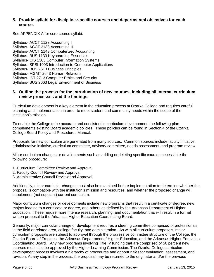## **5. Provide syllabi for discipline-specific courses and departmental objectives for each course.**

See APPENDIX A for core course syllabi.

Syllabus- ACCT 1123 Accounting I Syllabus- ACCT 2133 Accounting II Syllabus- ACCT 2143 Computerized Accounting Syllabus- BUS 1133 Keyboarding Essentials Syllabus- CIS 1303 Computer Information Systems Syllabus- SPSI 1003 Introduction to Computer Applications Syllabus- BUS 2613 Business Principles Syllabus- MGMT 2643 Human Relations Syllabus- IST 2713 Computer Ethics and Security Syllabus- BUS 2663 Legal Environment of Business

## **6. Outline the process for the introduction of new courses, including all internal curriculum review processes and the findings.**

Curriculum development is a key element in the education process at Ozarka College and requires careful planning and implementation in order to meet student and community needs within the scope of the institution's mission.

To enable the College to be accurate and consistent in curriculum development, the following plan complements existing Board academic policies. These policies can be found in Section 4 of the Ozarka College Board Policy and Procedures Manual.

Proposals for new curriculum are generated from many sources. Common sources include faculty initiative, administrative initiative, curriculum committee, advisory committee, needs assessment, and program review.

Minor curriculum changes or developments such as adding or deleting specific courses necessitate the following procedure:

- 1. Curriculum Committee Review and Approval
- 2. Faculty Council Review and Approval
- 3. Administrative Council Review and Approval

Additionally, minor curricular changes must also be examined before implementation to determine whether the proposal is compatible with the institution's mission and resources, and whether the proposed change will supplement (not supplant) current curriculum.

Major curriculum changes or developments include new programs that result in a certificate or degree, new majors leading to a certificate or degree, and others as defined by the Arkansas Department of Higher Education. These require more intense research, planning, and documentation that will result in a formal written proposal to the Arkansas Higher Education Coordinating Board.

Generally, major curricular change or development requires a steering committee comprised of professionals in the field or related area, college faculty, and administration. As with all curriculum proposals, major curriculum proposals are subject to approval through the progressive committee structure of the College, the Ozarka Board of Trustees, the Arkansas Department of Higher Education, and the Arkansas Higher Education Coordinating Board. Any new programs involving Title IV funding that are comprised of 50 percent new courses must also be approved by the Higher Learning Commission. The Ozarka College curriculum development process involves a hierarchy of procedures and opportunities for evaluation, assessment, and revision. At any step in the process, the proposal may be returned to the originator and/or the previous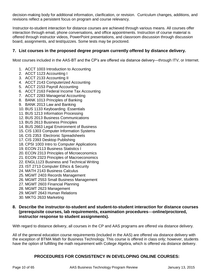decision-making body for additional information, clarification, or revision. Curriculum changes, additions, and revisions reflect a persistent focus on program and course relevancy.

Instructor-to-student interaction for distance courses are achieved through various means. All courses offer interaction through email, phone conversations, and office appointments. Instruction of course material is offered through instructor videos, PowerPoint presentations, and classroom discussion through discussion board, assignments, and test/quizzes. Some tests may be proctored.

## **7. List courses in the proposed degree program currently offered by distance delivery.**

Most courses included in the AAS-BT and the CP's are offered via distance delivery—through ITV, or Internet.

- 1. ACCT 1003 Introduction to Accounting
- 2. ACCT 1123 Accounting I
- 3. ACCT 2133 Accounting II
- 4. ACCT 2143 Computerized Accounting
- 5. ACCT 2153 Payroll Accounting
- 6. ACCT 2163 Federal Income Tax Accounting
- 7. ACCT 2283 Managerial Accounting
- 8. BANK 1013 Principles of Banking
- 9. BANK 2013 Law and Banking
- 10. BUS 1133 Keyboarding Essentials
- 11. BUS 1213 Information Processing
- 12. BUS 2013 Business Communications
- 13. BUS 2613 Business Principles
- 14. BUS 2663 Legal Environment of Business
- 15. CIS 1303 Computer Information Systems
- 16. CIS 2353 Electronic Spreadsheets
- 17. CIS 2393 Desktop Publishing
- 18. CPSI 1003 Intro to Computer Applications
- 19. ECON 2113 Business Statistics I
- 20. ECON 2313 Principles of Microeconomics
- 21. ECON 2323 Principles of Macroeconomics
- 22. ENGL1123 Business and Technical Writing
- 23. IST 2713 Computer Ethics & Security
- 24. MATH 2143 Business Calculus
- 25. MGMT 2403 Records Management
- 26. MGMT 2553 Small Business Management
- 27. MGMT 2603 Financial Planning
- 28. MGMT 2623 Management
- 29. MGMT 2643 Human Relations
- 30. MKTG 2633 Marketing

## **8. Describe the instructor-to-student and student-to-student interaction for distance courses (prerequisite courses, lab requirements, examination procedures**—**online/proctored, instructor response to student assignments).**

With regard to distance delivery, all courses in the CP and AAS programs are offered via distance delivery.

All of the general education course requirements (included in the AAS) are offered via distance delivery with the exception of BTMA Math for Business Technology. This course is offered in class only; however, students have the option of fulfilling the math requirement with College Algebra, which is offered via distance delivery.

## **PROCEDURES FOR CONSISTENCY IN DEVELOPING ONLINE COURSES:**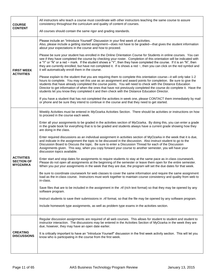| <b>COURSE</b>                                             | All instructors who teach a course must coordinate with other instructors teaching the same course to assure<br>consistency throughout the curriculum and quality of content of courses.                                                                                                                                                                                                                                                                                                                                                                                  |
|-----------------------------------------------------------|---------------------------------------------------------------------------------------------------------------------------------------------------------------------------------------------------------------------------------------------------------------------------------------------------------------------------------------------------------------------------------------------------------------------------------------------------------------------------------------------------------------------------------------------------------------------------|
| <b>CONTENT</b>                                            | All courses should contain the same rigor and grading standards.                                                                                                                                                                                                                                                                                                                                                                                                                                                                                                          |
|                                                           | Please include an "Introduce Yourself" Discussion in your first week of activities.<br>Also, please include a getting started assignment—does not have to be graded—that gives the student information<br>about your expectations in the course and how to proceed.                                                                                                                                                                                                                                                                                                       |
| <b>FIRST WEEK</b>                                         | Please be sure your student has enrolled in the Online Orientation Course for Students in online courses. You can<br>see if they have completed the course by checking your roster. Completion of this orientation will be indicated with<br>a "Y" or "N" or a red ~ mark. If the student shows a "Y", then they have completed the course. If it is an "N", then<br>they are currently enrolled, but have not completed it. If is shows a red $\sim$ , then you can click on the red symbol and<br>it will automatically enroll them in the course.                      |
| <b>ACTIVITIES</b>                                         | Please explain to the student that you are requiring them to complete this orientation course-it will only take 1-2<br>hours to complete. You may set this use as an assignment and award points for completion. Be sure to give the<br>students that have already completed the course points. You will need to check with the Distance Education<br>Director to get information of when the ones that have not previously completed the course do complete it. Have the<br>students let you know they completed it and then check with the Distance Education Director. |
|                                                           | If you have a student that has not completed the activities in week one, please CONTACT them immediately by mail<br>or phone and be sure they intend to continue in the course and that they need to get started.                                                                                                                                                                                                                                                                                                                                                         |
|                                                           | Weekly Activities must be entered in MyOzarka Activities Section. There should be activities or instructions on how<br>to proceed in the course each week.                                                                                                                                                                                                                                                                                                                                                                                                                |
|                                                           | Enter all your assignments to be graded in the activities section of MyOzarka. By doing this, you can enter a grade<br>in the grade book for everything that is to be graded and students always have a current grade showing how they<br>are doing in the class.                                                                                                                                                                                                                                                                                                         |
|                                                           | Enter required discussions as an individual assignment in activities section of MyOzarka in the week that it is due,<br>and indicate in the assignment the topic to be discussed in the discussion. Also instruct student to go to the<br>Discussion Board to Discuss the topic. Be sure to enter a Discussion Thread for each of the Discussion<br>Assignments given. This way, when you copy forward your course to another semester, you will have your<br>discussion topics available.                                                                                |
| <b>ACTIVITIES</b><br><b>SECTION OF</b><br><b>MYOZARKA</b> | Enter start and stop dates for assignments to require students to stay at the same pace as in-class coursework.<br>Please do not open all assignments at the beginning of the semester or leave them open for the entire semester.<br>When you put your assignments in the week that they are due, the program will set the due dates for that week.                                                                                                                                                                                                                      |
|                                                           | Be sure to coordinate coursework for web classes to cover the same information and require the same assignment<br>load as the in-class course. Instructors must work together to maintain course consistency and quality from web to<br>in-class.                                                                                                                                                                                                                                                                                                                         |
|                                                           | Save files that are to be included in the assignment in the .rtf (rich text format) so that they may be opened by any<br>software program.                                                                                                                                                                                                                                                                                                                                                                                                                                |
|                                                           | Instruct students to save their submissions in .rtf format, so that the file may be opened by any software program.                                                                                                                                                                                                                                                                                                                                                                                                                                                       |
|                                                           | Include homework type assignments, as well as problem type exams in the activities section.                                                                                                                                                                                                                                                                                                                                                                                                                                                                               |
|                                                           | Regular discussion assignments are required of all web courses. This allows for student to student and student to<br>instructor interaction. The discussions may be entered in the Activities Section of MyOzarka in the week they are<br>due; however, they may have an open date earlier.                                                                                                                                                                                                                                                                               |
| <b>CREATING</b><br><b>DISCUSSIONS</b>                     | It is critically important to have an "Introduce Yourself" discussion in the first week activity section. This will let you<br>know who is participating in the course from the first week.                                                                                                                                                                                                                                                                                                                                                                               |
|                                                           |                                                                                                                                                                                                                                                                                                                                                                                                                                                                                                                                                                           |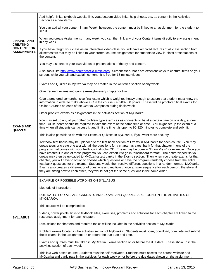|                                                                                   | Add helpful links, textbook website link, youtube.com video links, help sheets, etc. as content in the Activities<br>Section as a new items.                                                                                                                                                                                                                                                                                                                                                                                                                                                                                                                                                                                                                                                                                                                                                                                                                                                                                                        |  |
|-----------------------------------------------------------------------------------|-----------------------------------------------------------------------------------------------------------------------------------------------------------------------------------------------------------------------------------------------------------------------------------------------------------------------------------------------------------------------------------------------------------------------------------------------------------------------------------------------------------------------------------------------------------------------------------------------------------------------------------------------------------------------------------------------------------------------------------------------------------------------------------------------------------------------------------------------------------------------------------------------------------------------------------------------------------------------------------------------------------------------------------------------------|--|
| <b>LINKING AND</b><br><b>CREATING</b><br><b>CONTENT FOR</b><br><b>ASSIGNMENTS</b> | You can add all your content in any Week; however, the content must be linked to an assignment for the student to<br>see it.                                                                                                                                                                                                                                                                                                                                                                                                                                                                                                                                                                                                                                                                                                                                                                                                                                                                                                                        |  |
|                                                                                   | When you create Assignments in any week, you can then link any of your Content items directly to any assignment<br>in any week.                                                                                                                                                                                                                                                                                                                                                                                                                                                                                                                                                                                                                                                                                                                                                                                                                                                                                                                     |  |
|                                                                                   | If you have taught your class as an interactive video class, you will have archived lectures of all class section from<br>all semesters that may be linked to your current course assignments for students to view in-class presentations of<br>the content.                                                                                                                                                                                                                                                                                                                                                                                                                                                                                                                                                                                                                                                                                                                                                                                        |  |
|                                                                                   | You may also create your own videos of presentations of theory and content.                                                                                                                                                                                                                                                                                                                                                                                                                                                                                                                                                                                                                                                                                                                                                                                                                                                                                                                                                                         |  |
|                                                                                   | Also, tools like http://www.screencast-o-matic.com/ Screencast-o-Matic are excellent ways to capture items on your<br>screen, while you talk and explain content. It is free for 15 minute videos.                                                                                                                                                                                                                                                                                                                                                                                                                                                                                                                                                                                                                                                                                                                                                                                                                                                  |  |
|                                                                                   | Exams and Quizzes in MyOzarka may be created in the Activities section of any week.                                                                                                                                                                                                                                                                                                                                                                                                                                                                                                                                                                                                                                                                                                                                                                                                                                                                                                                                                                 |  |
|                                                                                   | Give frequent exams and quizzes--maybe every chapter or two.                                                                                                                                                                                                                                                                                                                                                                                                                                                                                                                                                                                                                                                                                                                                                                                                                                                                                                                                                                                        |  |
|                                                                                   | Give a proctored comprehensive final exam which is weighted heavy enough to assure that student must know the<br>information in order to make above a C in the course, i.e. 200-300 points. These will be proctored final exams for<br>Online Courses on each of the Ozarka Campuses during finals week.                                                                                                                                                                                                                                                                                                                                                                                                                                                                                                                                                                                                                                                                                                                                            |  |
|                                                                                   | Other problem exams as assignments in the activities section of MyOzarka:                                                                                                                                                                                                                                                                                                                                                                                                                                                                                                                                                                                                                                                                                                                                                                                                                                                                                                                                                                           |  |
| <b>EXAMS AND</b><br><b>QUIZZES</b>                                                | You may set up any of your other problem type exams as assignments to be at a certain time on one day, at one<br>time. All students should be required to take the exam at the same time or date. You might set up the exam at a<br>time when all students can access it, and limit the time it is open to 90-120 minutes to complete and submit.                                                                                                                                                                                                                                                                                                                                                                                                                                                                                                                                                                                                                                                                                                   |  |
|                                                                                   | This is also possible to do with the Exams or Quizzes In MyOzarka, if you want more security.                                                                                                                                                                                                                                                                                                                                                                                                                                                                                                                                                                                                                                                                                                                                                                                                                                                                                                                                                       |  |
|                                                                                   | Textbook test banks may be uploaded to the test bank section of Exams in MyOzarka for each course. You may<br>create tests or create one test with all the questions for a chapter as a test bank for that chapter in one of the<br>programs that comes with your textbook instructor CD. These may be done in "Exam View" for example. Once you<br>have created it in one of these programs, you can export it to go in "blackboard format". The entire zipped file you<br>create may then be uploaded to MyOzarka test banks in the Exams section. Then when you create exams for that<br>chapter, you will have to option to choose which questions or have the program randomly choose from the entire<br>test bank questions for the exams. Students would then receive different questions in a random format. MyOzarka<br>Exams also creates a different or of questions and multiple choice answer sequence for each person; therefore, if<br>they are sitting next to each other, they would not get the same questions in the same order. |  |
|                                                                                   | EXAMPLE OF POSSIBLE WORDING ON SYLLABUS                                                                                                                                                                                                                                                                                                                                                                                                                                                                                                                                                                                                                                                                                                                                                                                                                                                                                                                                                                                                             |  |
|                                                                                   | Methods of Instruction:                                                                                                                                                                                                                                                                                                                                                                                                                                                                                                                                                                                                                                                                                                                                                                                                                                                                                                                                                                                                                             |  |
|                                                                                   | DUE DATES FOR ALL ASSIGNMENTS AND EXAMS AND QUIZZES ARE FOUND IN THE ACTIVITIES OF<br>MYOZARKA.                                                                                                                                                                                                                                                                                                                                                                                                                                                                                                                                                                                                                                                                                                                                                                                                                                                                                                                                                     |  |
|                                                                                   | This course will be comprised of:                                                                                                                                                                                                                                                                                                                                                                                                                                                                                                                                                                                                                                                                                                                                                                                                                                                                                                                                                                                                                   |  |
| <b>SYLLABUS</b>                                                                   | Videos, power points, links to textbook sites, exercises, problems and solutions for each chapter are linked to the<br>resources assignment for each chapter.                                                                                                                                                                                                                                                                                                                                                                                                                                                                                                                                                                                                                                                                                                                                                                                                                                                                                       |  |
|                                                                                   | Discussions for chapters and required topics will be included in the activities section of MyOzarka.                                                                                                                                                                                                                                                                                                                                                                                                                                                                                                                                                                                                                                                                                                                                                                                                                                                                                                                                                |  |
|                                                                                   | Problem exams located in the activities section of MyOzarka. Students must open, download, complete and submit<br>these exams in the assignment on or before the due date and time.                                                                                                                                                                                                                                                                                                                                                                                                                                                                                                                                                                                                                                                                                                                                                                                                                                                                 |  |
|                                                                                   | Exams and quizzes must be taken in MyOzarka Exams section on or before the due date. These show up in the<br>activities section of each week.                                                                                                                                                                                                                                                                                                                                                                                                                                                                                                                                                                                                                                                                                                                                                                                                                                                                                                       |  |
|                                                                                   | This is a web-based course. Students must be self-motivated. Students must access the course website and<br>MyOzarka and participate in the activities for each week on or before the due dates shown on the assignment.                                                                                                                                                                                                                                                                                                                                                                                                                                                                                                                                                                                                                                                                                                                                                                                                                            |  |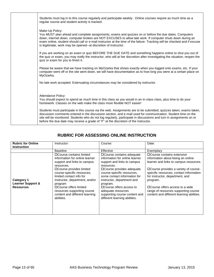|  | Students must log in to this course regularly and participate weekly. Online courses require as much time as a<br>regular course and student activity is tracked.                                                                                                                                                                                                                                                                                 |
|--|---------------------------------------------------------------------------------------------------------------------------------------------------------------------------------------------------------------------------------------------------------------------------------------------------------------------------------------------------------------------------------------------------------------------------------------------------|
|  | Make-Up Policy:<br>You MUST plan ahead and complete assignments, exams and quizzes on or before the due dates. Computers<br>down, internet down, computer broken are NOT EXCUSES to allow late work. If computer shuts down during an<br>exam online, student should call or e-mail instructor at the time of the failure. Tracking will be checked and if excuse<br>is legitimate, work may be opened--at discretion of instructor.              |
|  | If you are working on an exam or quiz BEFORE THE DUE DATE and something happens online to shut you out of<br>the quiz or exam, you may notify the instructor, who will at her discretion after investigating the situation, reopen the<br>quiz or exam for you to finish it.                                                                                                                                                                      |
|  | Please be aware that we have tracking on MyOzarka that shows exactly when you logged onto exams, etc. If your<br>computer went off or the site went down, we will have documentation as to how long you were at a certain place on<br>MyOzarka.                                                                                                                                                                                                   |
|  | No late work accepted. Extenuating circumstances may be considered by instructor.                                                                                                                                                                                                                                                                                                                                                                 |
|  | Attendance Policy:<br>You should expect to spend as much time in this class as you would in an in-class class, plus time to do your<br>homework. Classes on the web make the class more flexible NOT easier!                                                                                                                                                                                                                                      |
|  | Students must participate in this course via the web. Assignments are to be submitted, quizzes taken, exams taken,<br>discussion comments entered in the discussion section, and e-mail used for communication. Student time on the<br>site will be monitored. Students who do not log regularly, participate in discussions and turn in assignments on or<br>before the due date may receive a grade of "F" at the discretion of the instructor. |

## **RUBRIC FOR ASSESSING ONLINE INSTRUCTION**

| <b>Rubric for Online</b>                                              | Instructor:                                                                                                                                                                                                                                                                                                                                            | Course:                                                                                                                                                                                                                                                                                                                                                              | Date:                                                                                                                                                                                                                                                                                                                                                                        |
|-----------------------------------------------------------------------|--------------------------------------------------------------------------------------------------------------------------------------------------------------------------------------------------------------------------------------------------------------------------------------------------------------------------------------------------------|----------------------------------------------------------------------------------------------------------------------------------------------------------------------------------------------------------------------------------------------------------------------------------------------------------------------------------------------------------------------|------------------------------------------------------------------------------------------------------------------------------------------------------------------------------------------------------------------------------------------------------------------------------------------------------------------------------------------------------------------------------|
| <b>Instruction</b>                                                    |                                                                                                                                                                                                                                                                                                                                                        |                                                                                                                                                                                                                                                                                                                                                                      |                                                                                                                                                                                                                                                                                                                                                                              |
|                                                                       | <b>Baseline</b>                                                                                                                                                                                                                                                                                                                                        | Effective                                                                                                                                                                                                                                                                                                                                                            | Exemplary                                                                                                                                                                                                                                                                                                                                                                    |
| <b>Category 1</b><br><b>Learner Support &amp;</b><br><b>Resources</b> | □ Course contains limited<br>Information for online learner<br>support and links to campus<br>resources.<br>□ Course provides limited<br>course-specific resources,<br>limited contact info for<br>instructor, department, and/or<br>program<br>□ Course offers limited<br>resources supporting course<br>content and different learning<br>abilities. | □ Course contains adequate<br>information for online learner<br>support and links to campus<br>resources.<br>□ Course provides adequate<br>course-specific resources,<br>some contact information for<br>instructor, department and<br>program.<br>□ Course offers access to<br>adequate resources<br>supporting course content and<br>different learning abilities. | □ Course contains extensive<br>information about being an online<br>learner and links to campus resources.<br>$\Box$ Course provides a variety of course-<br>specific resources, contact information<br>for instructor, department, and<br>program.<br>□ Course offers access to a wide<br>range of resources supporting course<br>content and different learning abilities. |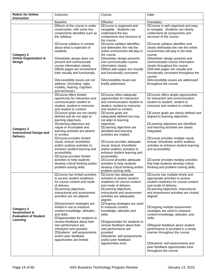| <b>Rubric for Online</b>                                                                 | Instructor:                                                                                                                                                                                                                                                                                                                                                                                                                                                                                                                                                                                                                                     | Course:                                                                                                                                                                                                                                                                                                                                                                                                                                                                                                                                                                                                        | Date:                                                                                                                                                                                                                                                                                                                                                                                                                                                                                                                                                                                            |
|------------------------------------------------------------------------------------------|-------------------------------------------------------------------------------------------------------------------------------------------------------------------------------------------------------------------------------------------------------------------------------------------------------------------------------------------------------------------------------------------------------------------------------------------------------------------------------------------------------------------------------------------------------------------------------------------------------------------------------------------------|----------------------------------------------------------------------------------------------------------------------------------------------------------------------------------------------------------------------------------------------------------------------------------------------------------------------------------------------------------------------------------------------------------------------------------------------------------------------------------------------------------------------------------------------------------------------------------------------------------------|--------------------------------------------------------------------------------------------------------------------------------------------------------------------------------------------------------------------------------------------------------------------------------------------------------------------------------------------------------------------------------------------------------------------------------------------------------------------------------------------------------------------------------------------------------------------------------------------------|
| <b>Instruction</b>                                                                       |                                                                                                                                                                                                                                                                                                                                                                                                                                                                                                                                                                                                                                                 |                                                                                                                                                                                                                                                                                                                                                                                                                                                                                                                                                                                                                |                                                                                                                                                                                                                                                                                                                                                                                                                                                                                                                                                                                                  |
|                                                                                          | <b>Baseline</b>                                                                                                                                                                                                                                                                                                                                                                                                                                                                                                                                                                                                                                 | Effective                                                                                                                                                                                                                                                                                                                                                                                                                                                                                                                                                                                                      | Exemplary                                                                                                                                                                                                                                                                                                                                                                                                                                                                                                                                                                                        |
| <b>Category 2</b><br><b>Online Organization &amp;</b><br>Design                          | $\Box$ Much of the course is under<br>construction, with some key<br>components identified such as<br>the syllabus.<br>□ Course syllabus is unclear<br>about what is expected of<br>students.<br>□ Aesthetic design does not<br>present and communicate<br>course information clearly.<br>□Web pages are inconsistent<br>both visually and functionally.<br>□ Accessibility issues are not<br>address. (Including: sight,                                                                                                                                                                                                                       | □Course is organized and<br>navigable. Students can<br>understand the key<br>components and structure of<br>the course.<br>□ Course syllabus identifies<br>and delineates the role the<br>online environment will play in<br>the course.<br>□ Aesthetic design presents<br>and communicates course<br>information clearly.<br>□Most web pages are visually<br>and functionally consistent.<br>□Accessibility issues are<br>briefly addressed.                                                                                                                                                                  | □ Course is well organized and easy<br>to navigate. Students can clearly<br>understand all components and<br>structure of the course.<br>□Course syllabus identifies and<br>clearly delineates the role the online<br>environment will play in the total<br>course.<br>□ Aesthetic design presents and<br>communicates course information<br>clearly throughout the course.<br>□All web pages are visually and<br>functionally consistent throughout the<br>course.<br>□ Accessibility issues are addressed<br>throughout the course.                                                            |
|                                                                                          | mobility, hearing, cognition,                                                                                                                                                                                                                                                                                                                                                                                                                                                                                                                                                                                                                   |                                                                                                                                                                                                                                                                                                                                                                                                                                                                                                                                                                                                                |                                                                                                                                                                                                                                                                                                                                                                                                                                                                                                                                                                                                  |
| <b>Category 3</b><br><b>Instructional Design and</b><br><b>Delivery</b>                  | and technical.)<br>□Course offers limited<br>opportunity for interaction and<br>communication student to<br>student, student to instructor<br>and student to content.<br>□ Course goals are not clearly<br>defined and do not align to<br>learning objectives.<br>□Learning objectives are<br>vague or incomplete and<br>learning activities are absent<br>or unclear.<br>□Course provides limited<br>visual, textual, kinesthetic<br>and/or auditory activities to<br>enhance student learning and<br>accessibility.<br>□Course provides limited<br>activities to help students<br>develop critical thinking and/or<br>problem-solving skills. | □ Course offers adequate<br>opportunities for interaction<br>and communication student to<br>student, student to instructor<br>and student to content.<br>□Course goals are<br>adequately defined but may<br>not align to learning<br>objectives.<br>□Learning objectives are<br>identified and learning<br>activities are implied.<br>□Course provides adequate<br>visual, textual, kinesthetic<br>and/or auditory activities to<br>enhance student learning and<br>accessibility.<br>□Course provides adequate<br>activities to help students<br>develop critical thinking and/or<br>problem-solving skills. | □ Course offers ample opportunities<br>for interaction and communication<br>student to student, student to<br>instructor and student to content.<br>□ Course goals are clearly defined and<br>aligned to learning objectives.<br>□Learning objectives are identified<br>and learning activities are clearly<br>integrated.<br>□ Course provides multiple visual,<br>textual, kinesthetic and/or auditory<br>activities to enhance student learning<br>and accessibility.<br>□ Course provides multiply activities<br>that help students develop critical<br>thinking and problem-solving skills. |
| <b>Category 4</b><br><b>Assessment &amp;</b><br><b>Evaluation of Student</b><br>Learning | □ Course has limited activities<br>to access student readiness<br>for course content and mode<br>of delivery.<br>□Learning objectives,<br>instructional and assessment<br>activities are not aligned.<br>□ Assessment strategies are<br>limited in use to measure<br>content knowledge, attitudes,<br>and skills.<br>□Opportunities for students to<br>receive feedback about their<br>own performance are<br>infrequent and sporadic.<br>□Students ' self-assessments<br>and/or peer feedback<br>opportunities are limited.                                                                                                                    | □ Course has adequate<br>activities to assess student<br>readiness for course content<br>and mode of delivery.<br>□Learning objectives,<br>instructional and assessment<br>activities are adequately<br>aligned.<br>□Ongoing strategies are used<br>to measure content<br>knowledge, attitudes and<br>skills.<br>□Opportunities for students to<br>receive feedback about their<br>own performance are<br>provided.<br>□Students' self-assessments<br>and/or peer feedback<br>opportunities exist.                                                                                                             | □Course has multiple timely and<br>appropriate activities to assess<br>student readiness for course content<br>and mode of delivery.<br>□Learning objectives, instructional<br>and assessment activities are closely<br>aligned<br>□Ongoing multiple assessment<br>strategies are used to measure<br>content knowledge, attitudes, and<br>skills.<br>□Regular feedback about student<br>performance is provided in a timely<br>manner throughout the course.<br>□Students' self-assessments and<br>peer feedback opportunities exist<br>throughout the course.                                   |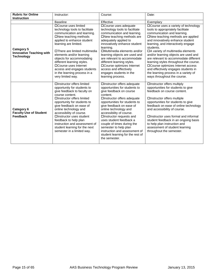| <b>Rubric for Online</b>                                                  | Instructor:                                                                                                                                                                                                                                                                                                                                                                                                    | Course:                                                                                                                                                                                                                                                                                                                                                                                                                                                         | Date:                                                                                                                                                                                                                                                                                                                                                                                                                                                                                                                                                    |
|---------------------------------------------------------------------------|----------------------------------------------------------------------------------------------------------------------------------------------------------------------------------------------------------------------------------------------------------------------------------------------------------------------------------------------------------------------------------------------------------------|-----------------------------------------------------------------------------------------------------------------------------------------------------------------------------------------------------------------------------------------------------------------------------------------------------------------------------------------------------------------------------------------------------------------------------------------------------------------|----------------------------------------------------------------------------------------------------------------------------------------------------------------------------------------------------------------------------------------------------------------------------------------------------------------------------------------------------------------------------------------------------------------------------------------------------------------------------------------------------------------------------------------------------------|
| <b>Instruction</b>                                                        |                                                                                                                                                                                                                                                                                                                                                                                                                |                                                                                                                                                                                                                                                                                                                                                                                                                                                                 |                                                                                                                                                                                                                                                                                                                                                                                                                                                                                                                                                          |
|                                                                           | <b>Baseline</b>                                                                                                                                                                                                                                                                                                                                                                                                | Effective                                                                                                                                                                                                                                                                                                                                                                                                                                                       | Exemplary                                                                                                                                                                                                                                                                                                                                                                                                                                                                                                                                                |
| <b>Category 5</b><br><b>Innovative Teaching with</b><br><b>Technology</b> | □Course uses limited<br>technology tools to facilitate<br>communication and learning.<br>□New teaching methods<br>applied to enhance student<br>learning are limited.<br>□There are limited multimedia<br>elements and/or learning<br>objects for accommodating<br>different learning styles.<br>□Course uses Internet<br>access and engages students<br>in the learning process in a<br>very limited way.     | □ Course uses adequate<br>technology tools to facilitate<br>communication and learning.<br>□New teaching methods are<br>adequately applied to<br>innovatively enhance student<br>learning.<br>□Multimedia elements and/or<br>learning objects are used and<br>are relevant to accommodate<br>different learning styles.<br>□Course optimizes Internet<br>access and effectively<br>engages students in the<br>learning process.                                 | □ Course uses a variety of technology<br>tools to appropriately facilitate<br>communication and learning.<br>□New teaching methods are applied<br>and innovatively enhance student<br>learning, and interactively engage<br>students.<br>□A variety of multimedia elements<br>and/or learning objects are used and<br>are relevant to accommodate different<br>learning styles throughout the course.<br>□Course optimizes Internet access<br>and effectively engages students in<br>the learning process in a variety of<br>ways throughout the course. |
| Category 6<br><b>Faculty Use of Student</b><br><b>Feedback</b>            | □Instructor offers limited<br>opportunity for students to<br>give feedback to faculty on<br>course content.<br>□Instructor offers limited<br>opportunity for students to<br>give feedback on ease of<br>online technology and<br>accessibility of course.<br>□Instructor uses student<br>feedback to help plan<br>instruction and assessment of<br>student learning for the next<br>semester in a limited way. | <b>OInstructor offers adequate</b><br>opportunities for students to<br>give feedback on course<br>content.<br>□Instructor offers adequate<br>opportunities for students to<br>give feedback on ease of<br>online technology and<br>accessibility of course.<br>□Instructor requests and<br>uses student feedback a<br>couple of times during the<br>semester to help plan<br>instruction and assessment of<br>student learning for the rest of<br>the semester. | □Instructor offers multiply<br>opportunities for students to give<br>feedback on course content.<br>□Instructor offers multiple<br>opportunities for students to give<br>feedback on ease of online technology<br>and accessibility of course.<br>□Instructor uses formal and informal<br>student feedback in an ongoing basis<br>to help plan instruction and<br>assessment of student learning<br>throughout the semester.                                                                                                                             |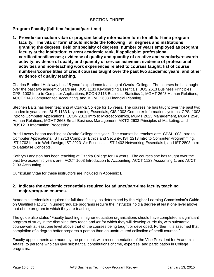## **SECTION THREE**

## **Program Faculty (full-time/adjunct/part-time)**

**1. Provide curriculum vitae or program faculty information form for all full-time program faculty. The vita or form should include the following: all degrees and institutions granting the degrees; field or specialty of degrees; number of years employed as program faculty at the institution; current academic rank, if applicable; professional certifications/licenses; evidence of quality and quantity of creative and scholarly/research activity; evidence of quality and quantity of service activities; evidence of professional activities and non-teaching work experiences related to courses taught; list of course numbers/course titles of credit courses taught over the past two academic years; and other evidence of quality teaching.**

Charles Bradford Hollaway has 15 years' experience teaching at Ozarka College. The courses he has taught over the past two academic years are: BUS 1133 Keyboarding Essentials, BUS 2613 Business Principles, CPSI 1003 Intro to Computer Applications, ECON 2113 Business Statistics 1, MGMT 2643 Human Relations, ACCT 2143 Computerized Accounting, and MGMT 2603 Financial Planning.

Stephen Baltz has been teaching at Ozarka College for 15 years. The courses he has taught over the past two academic years are: BUS 1133 Keyboarding Essentials, CIS 1303 Computer Information systems, CPSI 1003 Intro to Computer Applications, ECON 2313 Intro to Microeconomics, MGMT 2623 Management, MGMT 2543 Human Relations, MGMT 2663 Small Business Management, MKTG 2633 Principles of Marketing, and BUS1213 Information Processing.

Brad Lawrey began teaching at Ozarka College this year. The courses he teaches are: CPSI 1003 Intro to Computer Applications, IST 2713 Computer Ethics and Security, IST 1213 Intro to Computer Programming, IST 1703 Intro to Web Design, IST 2923 A+ Essentials, IST 1403 Networking Essentials I, and IST 2803 Intro to Database Concepts.

Kathryn Langston has been teaching at Ozarka College for 14 years. The courses she has taught over the past two academic years are: ACCT 1003 Introduction to Accounting, ACCT 1123 Accounting 1, and ACCT 2133 Accounting II,

Curriculum Vitae for these instructors are included in Appendix B.

## **2. Indicate the academic credentials required for adjunct/part-time faculty teaching major/program courses.**

Academic credentials required for full-time faculty, as determined by the Higher Learning Commission's Guide on Qualified Faculty, in undergraduate programs require the instructor hold a degree at least one level above that of the program in which they are teaching.

The guide also states "Faculty teaching in higher education organizations should have completed a significant program of study in the discipline they teach and /or for which they will develop curricula, with substantial coursework at least one level above that of the courses being taught or developed. Further, it is assumed that completion of a degree better prepares a person than an unstructured collection of credit courses."

Faculty appointments are made by the president, with recommendation of the Vice President for Academic Affairs, to persons who can give substantial contributions of time, expertise, and participation in College programs.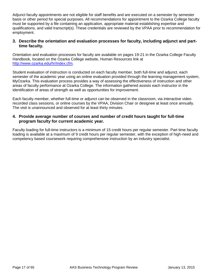Adjunct faculty appointments are not eligible for staff benefits and are executed on a semester by semester basis or other period for special purposes. All recommendations for appointment to the Ozarka College faculty must be supported by a file containing an application, appropriate material establishing expertise and qualifications, and valid transcript(s). These credentials are reviewed by the VPAA prior to recommendation for employment.

## **3. Describe the orientation and evaluation processes for faculty, including adjunct and parttime faculty.**

Orientation and evaluation processes for faculty are available on pages 19-21 in the Ozarka College Faculty Handbook, located on the Ozarka College website, Human Resources link at [http://www.ozarka.edu/hr/index.cfm.](http://www.ozarka.edu/hr/index.cfm)

Student evaluation of instruction is conducted on each faculty member, both full-time and adjunct, each semester of the academic year using an online evaluation provided through the learning management system, MyOzarka. This evaluation process provides a way of assessing the effectiveness of instruction and other areas of faculty performance at Ozarka College. The information gathered assists each instructor in the identification of areas of strength as well as opportunities for improvement.

Each faculty member, whether full-time or adjunct can be observed in the classroom, via interactive video recorded class sessions, or online courses by the VPAA, Division Chair or designee at least once annually. The visit is unannounced and observed for at least thirty minutes.

## **4. Provide average number of courses and number of credit hours taught for full-time program faculty for current academic year.**

Faculty loading for full-time instructors is a minimum of 15 credit hours per regular semester. Part time faculty loading is available at a maximum of 9 credit hours per regular semester, with the exception of high-need and competency based coursework requiring comprehensive instruction by an industry specialist.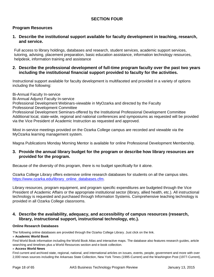## **SECTION FOUR**

## **Program Resources**

## **1. Describe the institutional support available for faculty development in teaching, research, and service.**

Full access to library holdings, databases and research, student services, academic support services, tutoring, advising, placement preparation, basic education assistance, information technology resources, helpdesk, information training and assistance

## **2. Describe the professional development of full-time program faculty over the past two years including the institutional financial support provided to faculty for the activities.**

Instructional support available for faculty development is multifaceted and provided in a variety of options including the following:

Bi-Annual Faculty In-service Bi-Annual Adjunct Faculty In-service Professional Development Webinars-viewable in MyOzarka and directed by the Faculty Professional Development Committee Professional Development Seminars-offered by the Institutional Professional Development Committee Additional local, state-wide, regional and national conferences and symposiums as requested will be provided via the Vice President of Academic Instruction as requested and approved.

Most in-service meetings provided on the Ozarka College campus are recorded and viewable via the MyOzarka learning management system.

Magna Publications Monday Morning Mentor is available for online Professional Development Membership.

## **3. Provide the annual library budget for the program or describe how library resources are provided for the program.**

Because of the diversity of this program, there is no budget specifically for it alone.

Ozarka College Library offers extensive online research databases for students on all the campus sites. [https://www.ozarka.edu/library\\_online\\_databases.cfm.](https://www.ozarka.edu/library_online_databases.cfm)

Library resources, program equipment, and program specific expenditures are budgeted through the Vice President of Academic Affairs or the appropriate institutional sector (library, allied health, etc.). All instructional technology is requested and purchased through Information Systems. Comprehensive teaching technology is provided in all Ozarka College classrooms.

## **4. Describe the availability, adequacy, and accessibility of campus resources (research, library, instructional support, instructional technology, etc.).**

#### **Online Research Databases**

The following online databases are provided through the Ozarka College Library. Just click on the link.

#### » **[Academic World Book](http://www.worldbookonline.com/?subacct=A0491)**

Find World Book information including the World Book Atlas and interactive maps. The database also features research guides, article searching and timelines plus a World Resources section and e-book collection.

#### » **[Access World News](http://infoweb.newsbank.com/)**

Find current and archived state, regional, national, and international articles on issues, events, people, government and more with over 2,000 news sources including the Arkansas State Collection, New York Times (1995-Current) and the Washington Post (1977-Current),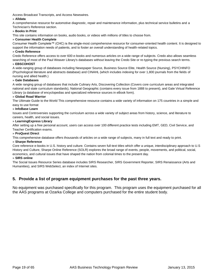Access Broadcast Transcripts, and Access Newswires.

#### » **[Alldata](http://library.alldatapro.com/)**

A comprehensive resource for automotive diagnostic, repair and maintenance information, plus technical service bulletins and a

## Technician's Reference section.

#### » **[Books In Print](http://www.booksinprint.com/)**

This site contains information on books, audio books, or videos with millions of titles to choose from.

#### » **[Consumer Health Complete](http://search.ebscohost.com/login.aspx?authtype=ip,uid&profile=chc)**

Consumer Health Complete™ (CHC) is the single-most comprehensive resource for consumer-oriented health content. It is designed to support the information needs of patients, and to foster an overall understanding of health-related topics.

#### » **[Credo Reference](http://www.credoreference.com/)**

Credo Reference offers access to over 600 e-books and numerous articles on a wide range of subjects. Credo also allows seamless searching of most of the Paul Weaver Library's databases without leaving the Credo Site or re-typing the previous search terms. » **[EBSCOHOST](http://search.ebscohost.com/login.aspx?authtype=ip,uid&profile=ehost)**

A wide-ranging group of databases including Newspaper Source, Business Source Elite, Health Source (Nursing), PSYCHINFO (Psychological literature and abstracts database) and CINAHL (which includes indexing for over 1,800 journals from the fields of nursing and allied health.)

#### » **[Gale Databases](http://find.galegroup.com/menu/commonmenu.do?userGroupName=ar_a_oc)**

A wide ranging group of databases that include Culinary Arts, Discovering Collection (Covers core curriculum areas and integrated national and state curriculum standards), National Geographic (contains every issue from 1888 to present), and Gale Virtual Reference Library (a database of encyclopedias and specialized reference sources in eBook form).

#### » **[Global Road Warrior](http://www.globalroadwarrior.com/directclient_index2.asp?c=ozarkaedu)**

The Ultimate Guide to the World This comprehensive resource contains a wide variety of information on 175 countries in a simple and easy to use format

#### » **[InfoBase Learn](http://online.infobaselearning.com/Direct.aspx?aid=102985&pid=WE00)**

Issues and Controversies supporting the curriculum across a wide variety of subject areas from history, science, and literature to careers, health, and social issues.

#### » **[LearningExpress Library](http://www.learningexpresshub.com/learningexpresslibrary?AuthToken=5F330CA6-6B8D-4404-8738-656F4FC15FE7)**

After setting up a free personal account, users can access over 100 different practice tests including EMT, GED, Civil Service, and Teacher Certification exams.

#### » **[ProQuest Direct](http://search.proquest.com/?accountid=39274)**

This comprehensive database offers thousands of articles on a wide range of subjects, many in full text and ready to print.

#### » **[Sharpe Reference](http://www.sharpe-online.com/)**

Core reference e-books in U.S. history and culture. Contains seven full-text titles which offer a unique, interdisciplinary approach to U.S History and Culture, Sharpe Online Reference (SOLR) explores the broad range of events, people, movements, and political, social, economics, and cultural issues that have shaped the nation from colonial times to the present day.

#### » **[SIRS online](http://sks.sirs.com/)**

The Social Issues Resource Series database includes SIRS Researcher, SIRS Government Reporter, SIRS Renaissance (Arts and Humanities), and SIRS WebSelect, an index of Internet sites.

## **5. Provide a list of program equipment purchases for the past three years.**

No equipment was purchased specifically for this program. This program uses the equipment purchased for all the AAS programs at Ozarka College and computers purchased for the entire student body.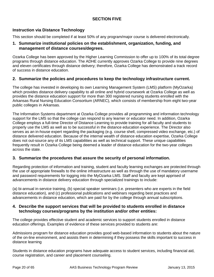## **SECTION FIVE**

## **Instruction via Distance Technology**

This section should be completed if at least 50% of any program/major course is delivered electronically.

## **1. Summarize institutional policies on the establishment, organization, funding, and management of distance courses/degrees.**

Ozarka College has been approved by the Higher Learning Commission to offer up to 100% of its total degree programs through distance education. The ADHE currently approves Ozarka College to provide nine degrees and eleven certificates through distance delivery; therefore, Ozarka College has demonstrated a track record of success in distance education.

## **2. Summarize the policies and procedures to keep the technology infrastructure current.**

The college has invested in developing its own Learning Management System (LMS) platform (MyOzarka) which provides distance delivery capability to all online and hybrid coursework at Ozarka College as well as provides the distance education support for more than 300 registered nursing students enrolled with the Arkansas Rural Nursing Education Consortium (ARNEC), which consists of membership from eight two-year public colleges in Arkansas.

The Information Systems department at Ozarka College provides all programming and information technology support for the LMS so that the college can respond to any learner or educator need. In addition, Ozarka College employs a full-time Director of Distance Learning to provide training for all faculty and students to properly use the LMS as well as to be successful in the distance education experience. The Director also serves as an in-house expert regarding the packaging (e.g. course shell, compressed video exchange, etc.) of distance delivered education. Because of the internal wealth of distance education expertise, Ozarka College does not out-source any of its LMS capabilities as well as technical support. These unique capabilities frequently result in Ozarka College being deemed a leader of distance education for the two-year colleges across the state.

## **3. Summarize the procedures that assure the security of personal information.**

Regarding protection of information and training, student and faculty learning exchanges are protected through the use of appropriate firewalls to the online infrastructure as well as through the use of mandatory username and password requirements for logging into the MyOzarka LMS. Staff and faculty are kept apprised of advancements in distance delivery education through specialized trainings to include:

(a) bi-annual in-service training, (b) special speaker seminars (i.e. presenters who are experts in the field distance education), and (c) professional publications and webinars regarding best practices and advancements in distance education, which are paid for by the college through annual subscriptions.

## **4. Describe the support services that will be provided to students enrolled in distance technology courses/programs by the institution and/or other entities:**

The college provides effective student and academic services to support students enrolled in distance education offerings. Examples of evidence of these services provided to students are:

Admissions program for distance education provides good web-based information to students about the nature of the on-line environment, and assists them in determining if they possess the skills important to success in distance learning

Students in distance education programs have adequate access to student services, including financial aid, course registration, and career and placement counseling.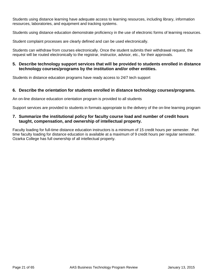Students using distance learning have adequate access to learning resources, including library, information resources, laboratories, and equipment and tracking systems.

Students using distance education demonstrate proficiency in the use of electronic forms of learning resources.

Student complaint processes are clearly defined and can be used electronically.

Students can withdraw from courses electronically. Once the student submits their withdrawal request, the request will be routed electronically to the registrar, instructor, advisor, etc., for their approvals.

## **5. Describe technology support services that will be provided to students enrolled in distance technology courses/programs by the institution and/or other entities.**

Students in distance education programs have ready access to 24/7 tech support

## **6. Describe the orientation for students enrolled in distance technology courses/programs.**

An on-line distance education orientation program is provided to all students

Support services are provided to students in formats appropriate to the delivery of the on-line learning program

## **7. Summarize the institutional policy for faculty course load and number of credit hours taught, compensation, and ownership of intellectual property.**

Faculty loading for full-time distance education instructors is a minimum of 15 credit hours per semester. Part time faculty loading for distance education is available at a maximum of 9 credit hours per regular semester. Ozarka College has full ownership of all intellectual property.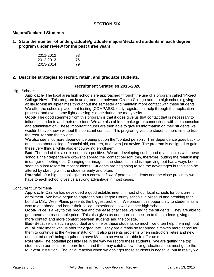## **SECTION SIX**

## **Majors/Declared Students**

**1. State the number of undergraduate/graduate majors/declared students in each degree program under review for the past three years.**

| 2011-2012 | 93 |
|-----------|----|
| 2012-2013 | 76 |
| 2013-2014 | 79 |

## **2. Describe strategies to recruit, retain, and graduate students.**

## **Recruitment Strategies 2015-2020**

## High Schools-

**Approach-** The local area high schools are approached through the use of a program called "Project College Now". This program is an agreement between Ozarka College and the high schools giving us ability to visit multiple times throughout the semester and maintain more contact with these students. We offer the schools placement testing (COMPASS), early registration, help through the application process, and even some light advising is done during the many visits.

**Good-** The good stemmed from this program is that it does give us that contact that is necessary to influence students and their decisions. We are also able to make great connections with the counselors and administration. These important figures are then able to give us information on their students we wouldn't have known without the constant contact. This program gives the students more time to trust the recruiter and the college.

We also see a lot more dependence being put on the "contact person". This dependence goes back to questions about college, financial aid, careers, and even just advice. The program is designed to gain these very things, while also encouraging enrollment.

**Bad-** The bad of this also is seen as a positive. We are developing such good relationships with these schools, their dependence grows to spread the "contact person" thin, therefore, putting the relationship in danger of fizzling out. Changing our image in the students mind is improving, but has always been seen as a last resort for most students. Students are beginning to see the advantages but this can be altered by starting with the students early and often.

**Potential**- Our high schools give us a constant flow of potential students and the close proximity we have to each school gives us a strong advantage in most cases.

## Concurrent Enrollment-

**Approach**- Ozarka has developed a good establishment in most of our local schools for concurrent enrollment. We have begun to approach our Oregon County schools in Missouri and breaking that bond to MSU West Plains presents the biggest problem. We present this opportunity to students as a way to get ahead and better their college experience as well as their high school.

**Good-** Price is a key to this program and the ease of access we bring to the students. They are able to get ahead at a reasonable price. This also gives us one more connection to the students giving us more contact and more comfort between students and the college.

**Bad**- Because it is such a good deal and it helps these students so much, we often help them right out of Fall enrollment with us after they graduate. They are already so far ahead it makes more sense for them to continue at the 4-year institution. It also presents problems when instructors retire and new ones hired aren't being required to have Masters so we aren't able to offer as much

**Potential-** The potential possibly lies in the way we record these students. We are getting the top students in our concurrent enrollment and then may catch a few after graduations, but most go to the four year institution. The initial reaction when we don't get those students is negative, but in reality we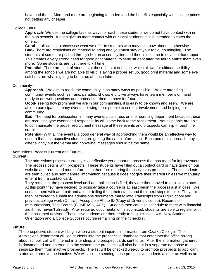have had them. More and more are beginning to understand the benefits especially with college prices not getting any cheaper.

## College Fairs-

**Approach**- We use the college fairs as ways to reach those students we do not have contact with in the high schools. It does give us more contact with our local students, but is intended to catch the others.

**Good**- It allows us to showcase what we offer to students who may not know about us otherwise. **Bad-** There are restrictions on material to bring and you must stay at your table, no mingling. The students at some are pushed through like an assembly line and thee is not time to develop that rapport. This creates a very strong need for good print material to send student after the fair to entice them even more. Some students are just there to kill time.

**Potential**- There are a lot of students at these fairs at one time, which allows for ultimate visibility among the schools we are not able to visit. Having a proper set up, good print material and some eye catchers are what's going to better us at these fairs.

## Community-

**Approach** - We aim to reach the community in as many ways as possible. We are attending community events such as Fairs, parades, shows, etc… we always have team member s on hand ready to answer questions and material for them to have for future

**Good**- seeing how prominent we are in our communities, it is easy to be known and seen. We are able to participate in many events allowing more people to see our involvement and helping our community.

**Bad**- The need for participation in many events puts stress on the recruiting department because these are recruiting type events and responsibility will come back to the recruitment. Not all people are able to communicate the proper recruitment message at these events and prospects can slip through the cracks.

**Potential**- With all the events, a good general way of approaching them would be an effective way to ensure that all prospective students are getting the same information. Each person's approach may differ slightly but the verbal and nonverbal messages should be the same.

Admissions Process Current and Future-

### **Current:**

The admissions process currently is an effective yet opportune process that has room for improvement. The process begins with prospects. These students have filled out a contact card or have gone on our website and requested more information therefore entering themselves as prospects. These students are then pulled and sent general information because it does not give their interest unless we manually enter it from a contact card.

They remain at the prospect level until an application is filed; they are then moved to applicant status. At this point they have decided to possibly take a course or at least begin the process just in case. We contact them with an email and a letter telling them their status and their next steps to take. They are then instructed to submit the admissions documents that follow: Transcripts from High School and previous college work (Official), Acceptable Photo ID (Copy of Driver's License), Records of Immunizations, Test Scores (COMPASS, ACT). Students then can also schedule to meet with financial aid if they haven't already. After required documentation is submitted, students are able to register with their assigned advisor. These new students are then ready to begin classes with New Student Orientation and a College Success course remaining on their checklist.

#### **Future:**

The prospective student will begin when a student inquires information from Ozarka College. The Admissions department will log students into the prospective database that enter into the office asking about school, call with interest in attending, and prospect cards sent to us. After the information gathered is documented and entered into the system, the prospects will also be put in a separate database to separate them from inactive prospects. The list will be checked weekly to promote prospects to applicant status and remove the inactive. We will also be sending these prospective students a letter as well as an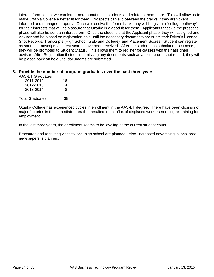interest form so that we can learn more about these students and relate to them more. This will allow us to make Ozarka College a better fit for them. Prospects can slip between the cracks if they aren't kept informed and managed properly. Once we receive the forms back, they will be given a "college pathway" for their interests that will help assure that Ozarka is a good fit for them. Applicants that skip the prospect phase will also be sent an interest form. Once the student is at the Applicant phase, they will assigned and Advisor and be placed on registration hold until the necessary documents are submitted: Driver's License, Shot Records, Transcripts (High School, GED and College), and Placement Scores. Student can register as soon as transcripts and test scores have been received. After the student has submitted documents, they will be promoted to Student Status. This allows them to register for classes with their assigned advisor. After Registration if student is missing any documents such as a picture or a shot record, they will be placed back on hold until documents are submitted.

## **3. Provide the number of program graduates over the past three years.**

AAS-BT Graduates

| 2011-2012 | 16 |
|-----------|----|
| 2012-2013 | 14 |
| 2013-2014 | 8  |
|           |    |

Total Graduates 38

Ozarka College has experienced cycles in enrollment in the AAS-BT degree. There have been closings of major factories in the immediate area that resulted in an influx of displaced workers needing re-training for employment.

In the last three years, the enrollment seems to be leveling at the current student count.

Brochures and recruiting visits to local high school are planned. Also, increased advertising in local area newspapers is planned.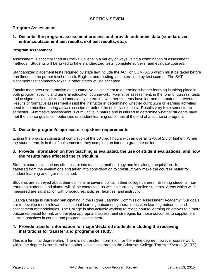## **SECTION SEVEN**

## **Program Assessment**

## **1. Describe the program assessment process and provide outcomes data (standardized entrance/placement test results, exit test results, etc.).**

## **Program Assessment**

Assessment is accomplished at Ozarka College in a variety of ways using a combination of assessment methods. Students will be asked to take standardized tests, complete surveys, and evaluate courses.

Standardized placement tests required by state law include the ACT or COMPASS which must be taken before enrollment in the proper level of math, English, and reading, as determined by test scores. The SAT placement test commonly taken in other states will be accepted.

Faculty members use formative and summative assessment to determine whether learning is taking place in both program specific and general education coursework. Formative assessment, in the form of quizzes, tests and assignments, is utilized to immediately determine whether students have learned the material presented. Results of formative assessment assist the instructor in determining whether curriculum or learning activities need to be modified during a class session or before the next class meets. Results vary from semester to semester. Summative assessment is cumulative in nature and is utilized to determine whether students have met the course goals, competencies or student learning outcomes at the end of a course or program.

## **2. Describe program/major exit or capstone requirements.**

Exiting the program consists of completion of the 60 credit hours with an overall GPA of 2.5 or higher. When the student enrolls in their final semester, they complete an intent to graduate online.

## **3. Provide information on how teaching is evaluated, the use of student evaluations, and how the results have affected the curriculum.**

Student course evaluations offer insight into teaching methodology and knowledge acquisition. Input is gathered from the evaluations and taken into consideration to constructively make the courses better for student learning and rigor maintained.

Students are surveyed about their opinions at several points in their college careers. Entering students, nonreturning students, and alumni will all be contacted, as well as currently enrolled students. Areas which will be measured are satisfaction with procedures, policies, facilities, and instruction.

Ozarka College is currently participating in the Higher Learning Commission Assessment Academy. Our goals are to develop more relevant institutional learning outcomes, general education learning outcomes and assessment methodologies. The College is also actively working to revise course learning objectives to a more outcomes-based format, and develop appropriate assessment strategies for those outcomes to supplement current practices in course and program assessment.

## **4. Provide transfer information for major/declared students including the receiving institutions for transfer and programs of study.**

This is a terminal degree plan. There is no transfer information for the entire degree; however course work within the degree is transferrable to other institutions through the Arkansas College Transfer System (ACTS).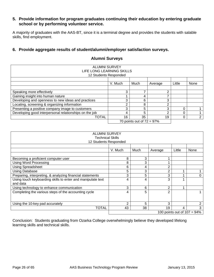## **5. Provide information for program graduates continuing their education by entering graduate school or by performing volunteer service.**

A majority of graduates with the AAS-BT, since it is a terminal degree and provides the students with salable skills, find employment.

## **6. Provide aggregate results of student/alumni/employer satisfaction surveys.**

| <b>ALUMNI SURVEY</b><br>LIFE LONG LEARNING SKILLS      |         |                              |         |          |                |
|--------------------------------------------------------|---------|------------------------------|---------|----------|----------------|
| 12 Students Responded                                  |         |                              |         |          |                |
|                                                        | V. Much | Much                         | Average | Little   | None           |
|                                                        |         |                              |         |          |                |
| Speaking more effectively                              | 3       | ⇁                            | ົ       |          |                |
| Gaining insight into human nature                      |         | 4                            |         |          |                |
| Developing and openness to new ideas and practices     | 3       | 6                            | 3       |          |                |
| Locating, screening & organizing information           | ◠       | 8                            | ົ       |          |                |
| Presenting a positive company image to customers       | 3       | 5                            | 3       | $\Omega$ |                |
| Developing good interpersonal relationships on the job | 4       | 5                            | ⌒       |          |                |
| TOTAL                                                  | 16      | 35                           | 19      |          | $\overline{2}$ |
|                                                        |         | 70 points out of $72 = 97\%$ |         |          |                |

## **Alumni Surveys**

| <b>ALUMNI SURVEY</b><br><b>Technical Skills</b><br>12 Students Responded |               |      |                |        |      |
|--------------------------------------------------------------------------|---------------|------|----------------|--------|------|
|                                                                          | V. Much       | Much | Average        | Little | None |
| Becoming a proficient computer user                                      | 8             | 3    |                |        |      |
| <b>Using Word Processing</b>                                             | 8             | 3    |                |        |      |
| Using Spreadsheet                                                        | 6             | 4    | 2              |        |      |
| <b>Using Database</b>                                                    | 5             | 3    | $\overline{2}$ |        |      |
| Preparing, interpreting, & analyzing financial statements                | 3             | 5    | 3              |        | 0    |
| Using touch keyboarding skills to enter and manipulate text<br>and data  | 4             | 4    | 3              |        |      |
| Using technology to enhance communication                                | 3             | 6    | $\overline{2}$ |        |      |
| Completing the various steps of the accounting cycle                     | 4             | 5    | $\overline{2}$ |        |      |
| Using the 10-key pad accurately                                          | $\mathcal{P}$ | 5    | 3              |        | 2    |
| <b>TOTAL</b>                                                             | 43            | 38   | 19             | 4      | 3    |
| 100 points out of $107 = 94\%$                                           |               |      |                |        |      |

Conclusion: Students graduating from Ozarka College overwhelmingly believe they developed lifelong learning skills and technical skills.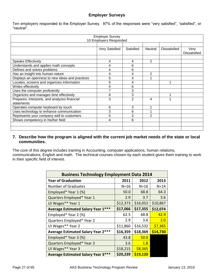## **Employer Surveys**

Ten employers responded to the Employer Survey. 97% of the responses were "very satisfied", "satisfied", or "neutral".

| <b>Employer Survey</b><br>10 Employers Responded |                |                |                |                     |                             |
|--------------------------------------------------|----------------|----------------|----------------|---------------------|-----------------------------|
|                                                  |                |                |                |                     |                             |
|                                                  | Very Satisfied | Satisfied      | <b>Neutral</b> | <b>Dissatisfied</b> | Very<br><b>Dissatisfied</b> |
|                                                  |                |                |                |                     |                             |
| <b>Speaks Effectively</b>                        | 4              | 4              | 2              |                     |                             |
| Understands and applies math concepts            | 4              | 6              |                |                     |                             |
| Defines and solves problems                      | 4              | 6              |                |                     |                             |
| Has an insight into human nature                 | 4              | 4              | 2              |                     |                             |
| Displays an openness to new ideas and practices  | 5              | 4              |                |                     |                             |
| Locates, screens and organizes information       | 5              | 4              |                |                     |                             |
| Writes effectively                               | 4              | 6              |                |                     |                             |
| Uses the computer proficiently                   | 7              | 3              |                |                     |                             |
| Organizes and manages time effectively           | 6              | 3              |                |                     |                             |
| Prepares, interprets, and analyzes financial     | 3              | $\overline{2}$ | 4              |                     |                             |
| statements                                       |                |                |                |                     |                             |
| Operates computer keyboard by touch              | 6              | 3              |                |                     |                             |
| Uses technology to enhance communication         | 3              | 6              |                |                     |                             |
| Represents your company well to customers        | 5              | 3              | $\overline{2}$ |                     |                             |
| Shows competency in his/her field                | 4              | 6              |                |                     |                             |
|                                                  |                |                |                |                     |                             |
|                                                  |                |                |                |                     |                             |

## **7. Describe how the program is aligned with the current job market needs of the state or local communities.**

The core of this degree includes training in Accounting, computer applications, human relations, communications, English and math. The technical courses chosen by each student gives them training to work in their specific field of interest.

| <b>Business Technology Employment Data 2014</b> |          |          |          |
|-------------------------------------------------|----------|----------|----------|
| <b>Year of Graduation</b>                       | 2011     | 2012     | 2013     |
| <b>Number of Graduates</b>                      | $N=16$   | $N = 16$ | $N = 14$ |
| Employed* Year 1 (%)                            | 50.0     | 68.8     | 64.3     |
| Quarters Employed* Year 1                       | 2.9      | 3.7      | 3.6      |
| UI Wages** Year 1                               | \$12,373 | \$16,053 | \$10,867 |
| <b>Average Estimated Salary Year 1***</b>       | \$17,066 | \$17,355 | \$12,074 |
| Employed* Year 2 (%)                            | 62.5     | 68.8     | 42.9     |
| Quarters Employed* Year 2                       | 2.9      | 3.6      | 2.0      |
| UI Wages** Year 2                               | \$11,860 | \$16,532 | \$7,365  |
| <b>Average Estimated Salary Year 2***</b>       | \$16,359 | \$18,369 | \$14,730 |
| Employed* Year 3 (%)                            | 43.8     | 50.0     |          |
| Quarters Employed* Year 3                       | 3.6      | 1.8      |          |
| UI Wages** Year 3                               | \$18,215 | \$8,365  |          |
| <b>Average Estimated Salary Year 3***</b>       | \$20,239 | \$19,120 |          |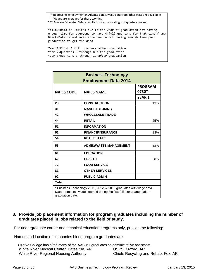\* Represents employment in Arkansas only, wage data from other states not available

- \*\* Wages are averages for those working
- \*\*\* Average Estimated Salary results from extrapolating to 4 quarters worked

Yellow=Data is limited due to the year of graduation not having enough time for everyone to have 4 full quarters for that time frame Black=Data is not available due to not having enough time post graduation to get the data

Year 1=First 4 full quarters after graduation Year 2=Quarters 5 through 8 after graduation Year 3=Quarters 9 through 12 after graduation

| <b>Business Technology</b><br><b>Employment Data 2014</b>                                                                                                        |                               |                         |  |
|------------------------------------------------------------------------------------------------------------------------------------------------------------------|-------------------------------|-------------------------|--|
| <b>NAICS CODE</b>                                                                                                                                                | <b>NAICS NAME</b>             | <b>PROGRAM</b><br>0730* |  |
|                                                                                                                                                                  |                               | <b>YEAR 1</b>           |  |
| 23                                                                                                                                                               | <b>CONSTRUCTION</b>           | 13%                     |  |
| 31                                                                                                                                                               | <b>MANUFACTURING</b>          |                         |  |
| 42                                                                                                                                                               | <b>WHOLESALE TRADE</b>        |                         |  |
| 44                                                                                                                                                               | <b>RETAIL</b>                 | 25%                     |  |
| 51                                                                                                                                                               | <b>INFORMATION</b>            |                         |  |
| 52                                                                                                                                                               | <b>FINANCE/INSURANCE</b>      | 13%                     |  |
| 54                                                                                                                                                               | <b>REAL ESTATE</b>            |                         |  |
| 56                                                                                                                                                               | <b>ADMIN/WASTE MANAGEMENT</b> | 13%                     |  |
| 61                                                                                                                                                               | <b>EDUCATION</b>              |                         |  |
| 62                                                                                                                                                               | <b>HEALTH</b>                 | 38%                     |  |
| 72                                                                                                                                                               | <b>FOOD SERVICE</b>           |                         |  |
| 81                                                                                                                                                               | <b>OTHER SERVICES</b>         |                         |  |
| 92                                                                                                                                                               | <b>PUBLIC ADMIN</b>           |                         |  |
| <b>Total</b>                                                                                                                                                     |                               |                         |  |
| * Business Technology 2011, 2012, & 2013 graduates with wage data.<br>Data represents wages earned during the first full four quarters after<br>graduation date. |                               |                         |  |

## **8. Provide job placement information for program graduates including the number of graduates placed in jobs related to the field of study.**

For undergraduate career and technical education programs only, provide the following:

Names and location of companies hiring program graduates are:

| Ozarka College has hired many of the AAS-BT graduates as administrative assistants. |                                     |
|-------------------------------------------------------------------------------------|-------------------------------------|
| White River Medical Center, Batesville, AR                                          | USPS, Oxford, AR                    |
| White River Regional Housing Authority                                              | Chiefs Recycling and Rehab, Fox, AR |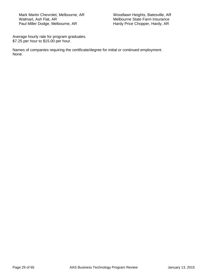Mark Martin Chevrolet, Melbourne, AR 
Woodlawn Heights, Batesville, AR
Walmart, Ash Flat, AR
Walmart, Ash Flat, AR
Walmart, Ash Flat, AR
Walmart, Ash Flat, AR
Walmart, Ash Flat, AR
Walmart, Ash Flat, AR
Walmart, Ash Flat, Paul Miller Dodge, Melbourne, AR

Melbourne State Farm Insurance<br>Hardy Price Chopper, Hardy, AR

Average hourly rate for program graduates. \$7.25 per hour to \$15.00 per hour.

Names of companies requiring the certificate/degree for initial or continued employment. None.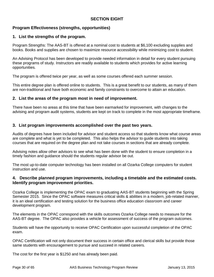## **SECTION EIGHT**

## **Program Effectiveness (strengths, opportunities)**

## **1. List the strengths of the program.**

Program Strengths: The AAS-BT is offered at a nominal cost to students at \$6,100 excluding supplies and books. Books and supplies are chosen to maximize resource accessibility while minimizing cost to student.

An Advising Protocol has been developed to provide needed information in detail for every student pursuing these programs of study. Instructors are readily available to students which provides for active learning opportunities.

The program is offered twice per year, as well as some courses offered each summer session.

This entire degree plan is offered online to students. This is a great benefit to our students, as many of them are non-traditional and have both economic and family constraints to overcome to attain an education.

## **2. List the areas of the program most in need of improvement.**

There have been no areas at this time that have been earmarked for improvement, with changes to the advising and program audit systems, students are kept on track to complete in the most appropriate timeframe.

## **3. List program improvements accomplished over the past two years.**

Audits of degrees have been included for advisor and student access so that students know what course areas are complete and what is yet to be completed. This also helps the advisor to guide students into taking courses that are required on the degree plan and not take courses in sections that are already complete.

Advising notes allow other advisors to see what has been done with the student to ensure completion in a timely fashion and guidance should the students regular advisor be out.

The most up-to-date computer technology has been installed on all Ozarka College computers for student instruction and use.

## **4. Describe planned program improvements, including a timetable and the estimated costs. Identify program improvement priorities.**

Ozarka College is implementing the OPAC exam to graduating AAS-BT students beginning with the Spring Semester 2015. Since the OPAC software measures critical skills & abilities in a modern, job-related manner, it is an ideal certification and testing solution for the business office education classroom and career development program.

The elements in the OPAC correspond with the skills outcomes Ozarka College needs to measure for the AAS-BT degree. The OPAC also provides a vehicle for assessment of success of the program outcomes.

Students will have the opportunity to receive OPAC Certification upon successful completion of the OPAC exam.

OPAC Certification will not only document their success in certain office and clerical skills but provide those same students with encouragement to pursue and succeed in related careers.

The cost for the first year is \$1250 and has already been paid.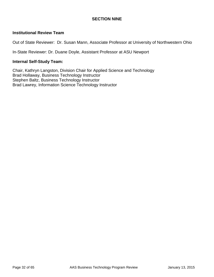## **SECTION NINE**

## **Institutional Review Team**

Out of State Reviewer: Dr. Susan Mann, Associate Professor at University of Northwestern Ohio

In-State Reviewer: Dr. Duane Doyle, Assistant Professor at ASU Newport

## **Internal Self-Study Team:**

Chair, Kathryn Langston, Division Chair for Applied Science and Technology Brad Hollaway, Business Technology Instructor Stephen Baltz, Business Technology Instructor Brad Lawrey, Information Science Technology Instructor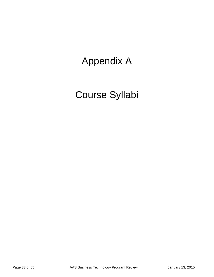## Appendix A

# Course Syllabi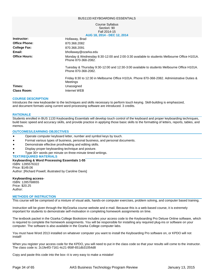#### BUS1133 KEYBOARDING ESSENTIALS

#### Course Syllabus Section: 90 Fall 2014-15 **AUG 18, 2014 - DEC 12, 2014**

| AVY IVLEVIT PEVILLEVIT                                                                                            |
|-------------------------------------------------------------------------------------------------------------------|
| Hollaway, Brad                                                                                                    |
| 870.368.2082                                                                                                      |
| 870.368.2091                                                                                                      |
| bhollaway@ozarka.edu                                                                                              |
| Monday & Wednesday 8:30-12:00 and 2:00-3:30 available to students Melbourne Office H101A.<br>Phone 870-368-2082.  |
| Tuesday & Thursday 9:30-12:00 and 12:30-3:00 available to students Melbourne Office H101A.<br>Phone 870-368-2082. |
| Friday 8:30 to 12:30 in Melbourne Office H101A. Phone 870-368-2082. Administrative Duties &<br>Meetings           |
| Unassigned                                                                                                        |
| Internet WEB                                                                                                      |
|                                                                                                                   |

#### **COURSE DESCRIPTION**

Introduces the new keyboarder to the techniques and skills necessary to perform touch keying. Skill-building is emphasized, and document formats using current word-processing software are introduced. 3 credits.

#### **RATIONALE**

Students enrolled in BUS 1133 Keyboarding Essentials will develop touch control of the keyboard and proper keyboarding techniques, build basic speed and accuracy skills, and provide practice in applying those basic skills to the formatting of letters, reports, tables, and memos.

#### **OUTCOMES/LEARNING OBJECTIVES**

- Operate computer keyboard letter, number and symbol keys by touch.
- Format various types of business, personal business, and personal documents.
- **•** Demonstrate effective proofreading and editing skills.
- Display proper keyboarding technique and posture.
- Type 30+ words per minute on three-minute timed writings.

#### **TEXT/REQUIRED MATERIALS**

**Keyboarding & Word Processing Essentials 1-55** ISBN: 1285576322 Price: \$149.06 Author: [Richard Powell; illustrated by Caroline Davis]

#### **Keyboarding access-**

ISBN: 1285768655 Price: \$20.25 Author:

#### **METHODS OF INSTRUCTION**

This course will be comprised of a mixture of visual aids, hands-on computer exercises, problem solving, and computer based training.

Instruction will be given through the MyOzarka course website and e-mail. Because this is a web-based course, it is extremely important for students to demonstrate self-motivation in completing homework assignments on time.

The textbook packet in the Ozarka College Bookstore includes your access code to the Keyboarding Pro Deluxe Online software, which is required to complete the homework assignments. You will be responsible for installing any required plug-ins or software on your computer. The software is also available in the Ozarka College computer labs.

You must have Word 2013 installed on whatever computer you want to install the Keyboarding Pro software on, or KPDO will not install!

When you register your access code for the KPDO, you will need to put in the class code so that your results will come to the instructor. The class code is: 2c1fe4f3-7161-4c21-958f-651db31054d8

Copy and paste this code into the box--it is very easy to make a mistake!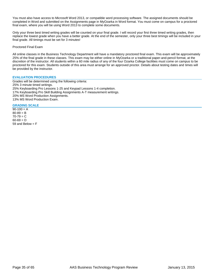You must also have access to Microsoft Word 2013, or compatible word processing software. The assigned documents should be completed in Word and submitted on the Assignments page in MyOzarka in Word format. You must come on campus for a proctored final exam, where you will be using Word 2013 to complete some documents.

Only your three best timed writing grades will be counted on your final grade. I will record your first three timed writing grades, then replace the lowest grade when you have a better grade. At the end of the semester, only your three best timings will be included in your final grade. All timings must be set for 3 minutes!

Proctored Final Exam

All online classes in the Business Technology Department will have a mandatory proctored final exam. This exam will be approximately 25% of the final grade in these classes. This exam may be either online in MyOzarka or a traditional paper-and-pencil format, at the discretion of the instructor. All students within a 60 mile radius of any of the four Ozarka College facilities must come on campus to be proctored for this exam. Students outside of this area must arrange for an approved proctor. Details about testing dates and times will be provided by the instructor.

#### **EVALUATION PROCEDURES**

Grades will be determined using the following criteria: 25% 3 minute timed writings. 25% Keyboarding Pro Lessons 1-25 and Keypad Lessons 1-4 completion. 17% Keyboarding Pro Skill Building Assignments A-T measurement writings. 20% MS Word Production Assignments. 13% MS Word Production Exam.

#### **GRADING SCALE**

 $90-100 = A$  $80 - 89 = B$  $70 - 79 = C$  $60 - 69 = D$ 59 and Below  $=$  F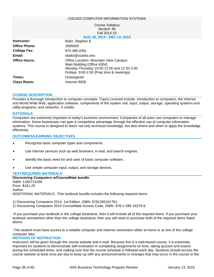#### CIS1303 COMPUTER INFORMATION SYSTEMS

#### Course Syllabus Section: 90 Fall 2014-15 **AUG 18, 2014 - DEC 12, 2014**

| Instructor:          | Baltz, Stephen E                                                                                                                                                |
|----------------------|-----------------------------------------------------------------------------------------------------------------------------------------------------------------|
| <b>Office Phone:</b> | 2695600                                                                                                                                                         |
| <b>College Fax:</b>  | 870.368.2091                                                                                                                                                    |
| Email:               | sbaltz@ozarka.edu                                                                                                                                               |
| <b>Office Hours:</b> | Office Location: Mountain View Campus<br>Main Building (Office #004)<br>Monday-Thursday 10:00-12:00 and 12:30-2:00<br>Fridays: 9:00-1:00 (Prep time & meetings) |
| Times:               | Unassigned                                                                                                                                                      |
| <b>Class Room:</b>   | Internet WEB                                                                                                                                                    |

#### **COURSE DESCRIPTION**

Provides a thorough introduction to computer concepts. Topics covered include: introduction to computers, the Internet and World Wide Web, application software, components of the system unit, input, output, storage, operating systems and utility programs, and networks. 3 credits.

#### **RATIONALE**

Computers are extremely important to today's business environment. Companies of all sizes use computers to manage information. Some businesses can gain a competitive advantage through the effective use of computer information systems. This course is designed to teach not only technical knowledge, but also where and when to apply the knowledge effectively.

#### **OUTCOMES/LEARNING OBJECTIVES**

- Recognize basic computer types and components.
- Use internet services such as web browsers, e-mail, and search engines.
- Identify the basic need for and uses of basic computer software.
- Use simple computer input, output, and storage devices.

#### **TEXT/REQUIRED MATERIALS**

**Discovering Computers w/CourseMate bundle** ISBN: 1285713338 Price: \$161.25 Author: ADDITIONAL MATERIALS: -This textbook bundle includes the following required items:

1) Discovering Computers 2014, 1st Edition, ISBN: 9781285161761.

2) Discovering Computers 2014 CourseMate Access Code, ISBN: 978-1-285-16279-9.

-If you purchase your textbook in the college bookstore, then it will include all of the required items. If you purchase your textbook somewhere other than the college bookstore, then you will need to purchase both of the required items listed above.

-The student must have access to a reliable computer and Internet connection either at home or at one of the college computer labs.

#### **METHODS OF INSTRUCTION**

Instruction will be given through the course website and e-mail. Because this is a web-based course, it is extremely important for students to demonstrate self-motivation in completing assignments on time, taking quizzes and exams during the scheduled times, and making sure that the course schedule is followed each day. Students should access the course website at least once per day to keep up with any announcements or changes that may occur in the course or the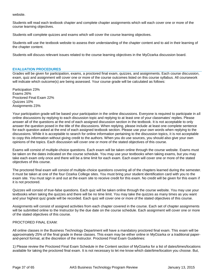website.

Students will read each textbook chapter and complete chapter assignments which will each cover one or more of the course learning objectives.

Students will complete quizzes and exams which will cover the course learning objectives.

Students will use the textbook website to assess their understanding of the chapter content and to aid in their learning of the chapter content.

Students will discuss relevant issues related to the course learning objectives in the MyOzarka discussion board.

#### **EVALUATION PROCEDURES**

Grades will be given for participation, exams, a proctored final exam, quizzes, and assignments. Each course discussion, exam, quiz and assignment will cover one or more of the course outcomes listed on this course syllabus. All coursework will indicate which outcome(s) are being assessed. Your course grade will be calculated as follows:

Participation 23% Exams 26% Proctored Final Exam 22% Quizzes 10% Assignments 23%

Your participation grade will be based your participation in the online discussions. Everyone is required to participate in all online discussions by replying to each discussion topic and replying to at least one of your classmates' replies. Please answer all of the questions at the end of each assigned discussion section in the textbook. It is not acceptable to only answer the question posed in the title of the discussions. When replying, please include at least one complete sentence for each question asked at the end of each assigned textbook section. Please use your own words when replying to the discussions. While it is acceptable to search for online information pertaining to the discussion topics, it is not acceptable to copy this information without giving credit to the authors. When you do use sources, you should also give your own opinions of the topics. Each discussion will cover one or more of the stated objectives of this course.

Exams will consist of multiple-choice questions. Each exam will be taken online through the course website. Exams must be taken on the dates indicated on the course schedule. You may use your textbooks when taking exams, but you may take each exam only once and there will be a time limit for each exam. Each exam will cover one or more of the stated objectives of this course.

The proctored final exam will consist of multiple-choice questions covering all of the chapters learned during the semester. It must be taken at one of the four Ozarka College sites. You must bring your student identification card with you to the exam site. You must sign in and out at the exam site to receive credit for this exam. No credit will be given for this exam if it is not proctored.

Quizzes will consist of true-false questions. Each quiz will be taken online through the course website. You may use your textbooks when taking the quizzes and there will be no time limit. You may take the quizzes as many times as you want and your highest quiz grade will be recorded. Each quiz will cover one or more of the stated objectives of this course.

Assignments will consist of assigned activities from each chapter covered in the course. Each set of chapter assignments will be submitted online to the Instructor by the due date on the course schedule. Each assignment will cover one or more of the stated objectives of this course.

#### PROCTORED FINAL EXAM:

All online classes in the Business Technology Department will have a mandatory proctored final exam. This exam will be approximately 25% of the final grade in these classes. This exam may be either online in MyOzarka or a traditional paperand-pencil format, at the discretion of the instructor. Proctored Final Exam Guidelines:

1) Please review the Proctored Final Exam Schedule in the Content section of MyOzarka for a list of dates/times/locations available for taking the proctored final exam. It is not necessary to let me know which date/time/location you choose. But,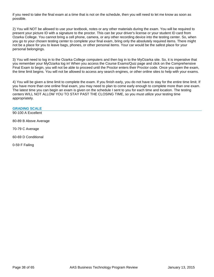if you need to take the final exam at a time that is not on the schedule, then you will need to let me know as soon as possible.

2) You will NOT be allowed to use your textbook, notes or any other materials during the exam. You will be required to present your picture ID with a signature to the proctor. This can be your driver's license or your student ID card from Ozarka College. You cannot bring a cell phone, camera, or any other recording device into the testing center. So, when you go to your chosen testing center to complete your final exam, bring only the absolutely required items. There might not be a place for you to leave bags, phones, or other personal items. Your car would be the safest place for your personal belongings.

3) You will need to log in to the Ozarka College computers and then log in to the MyOzarka site. So, it is imperative that you remember your MyOzarka log in! When you access the Course Exams/Quiz page and click on the Comprehensive Final Exam to begin, you will not be able to proceed until the Proctor enters their Proctor code. Once you open the exam, the time limit begins. You will not be allowed to access any search engines, or other online sites to help with your exams.

4) You will be given a time limit to complete the exam. If you finish early, you do not have to stay for the entire time limit. If you have more than one online final exam, you may need to plan to come early enough to complete more than one exam. The latest time you can begin an exam is given on the schedule I sent to you for each time and location. The testing centers WILL NOT ALLOW YOU TO STAY PAST THE CLOSING TIME, so you must utilize your testing time appropriately.

#### **GRADING SCALE**

90-100 A Excellent

80-89 B Above Average

70-79 C Average

60-69 D Conditional

0-59 F Failing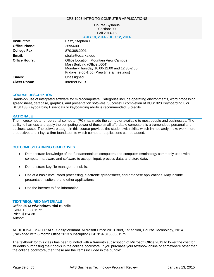#### CPSI1003 INTRO TO COMPUTER APPLICATIONS

#### Course Syllabus Section: 90 Fall 2014-15 **AUG 18, 2014 - DEC 12, 2014**

| Instructor:          | Baltz, Stephen E                                                                                                                                                |
|----------------------|-----------------------------------------------------------------------------------------------------------------------------------------------------------------|
| <b>Office Phone:</b> | 2695600                                                                                                                                                         |
| <b>College Fax:</b>  | 870.368.2091                                                                                                                                                    |
| Email:               | sbaltz@ozarka.edu                                                                                                                                               |
| <b>Office Hours:</b> | Office Location: Mountain View Campus<br>Main Building (Office #004)<br>Monday-Thursday 10:00-12:00 and 12:30-2:00<br>Fridays: 9:00-1:00 (Prep time & meetings) |
| Times:               | Unassigned                                                                                                                                                      |
| <b>Class Room:</b>   | Internet WEB                                                                                                                                                    |
|                      |                                                                                                                                                                 |

#### **COURSE DESCRIPTION**

Hands-on use of integrated software for microcomputers. Categories include operating environments, word processing, spreadsheet, database, graphics, and presentation software. Successful completion of BUS1023 Keyboarding I, or BUS1133 Keyboarding Essentials or keyboarding ability is recommended. 3 credits.

#### **RATIONALE**

The microcomputer or personal computer (PC) has made the computer available to most people and businesses. The ability to harness and apply the computing power of these small affordable computers is a tremendous personal and business asset. The software taught in this course provides the student with skills, which immediately make work more productive, and it lays a firm foundation to which computer applications can be added.

#### **OUTCOMES/LEARNING OBJECTIVES**

- Demonstrate knowledge of the fundamentals of computers and computer terminology commonly used with computer hardware and software to accept, input, process data, and store data.
- Demonstrate key file management skills.
- Use at a basic level: word processing, electronic spreadsheet, and database applications. May include presentation software and other applications.
- Use the internet to find information.

#### **TEXT/REQUIRED MATERIALS**

**Office 2013 w/windows trial Bundle** ISBN: 1305381572 Price: \$154.38 Author:

ADDITIONAL MATERIALS: Shelly/Vermaat. Microsoft Office 2013 Brief, 1st edition, Course Technology, 2014. (Packaged with 6-month Office 2013 subscription) ISBN: 9781305381575.

The textbook for this class has been bundled with a 6-month subscription of Microsoft Office 2013 to lower the cost for students purchasing their books in the college bookstore. If you purchase your textbook online or somewhere other than the college bookstore, then these are the items included in the bundle: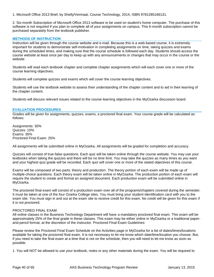1. Microsoft Office 2013 Brief, by Shelly/Vermaat, Course Technology, 2014, ISBN 9781285166131.

2. Six-month Subscription of Microsoft Office 2013 software to be used on student's home computer. The purchase of this software is not required if you plan to complete all of your assignments on campus. This 6-month subscription cannot be purchased separately from the textbook publisher.

#### **METHODS OF INSTRUCTION**

Instruction will be given through the course website and e-mail. Because this is a web-based course, it is extremely important for students to demonstrate self-motivation in completing assignments on time, taking quizzes and exams during the scheduled times, and making sure that the course schedule is followed each day. Students should access the course website at least once per day to keep up with any announcements or changes that may occur in the course or the website.

Students will read each textbook chapter and complete chapter assignments which will each cover one or more of the course learning objectives.

Students will complete quizzes and exams which will cover the course learning objectives.

Students will use the textbook website to assess their understanding of the chapter content and to aid in their learning of the chapter content.

Students will discuss relevant issues related to the course learning objectives in the MyOzarka discussion board.

#### **EVALUATION PROCEDURES**

Grades will be given for assignments, quizzes, exams, a proctored final exam. Your course grade will be calculated as follows:

Assignments: 30% Quizzes: 10% Exams: 35% Proctored Final Exam: 25%

All assignments will be submitted online in MyOzarka. All assignments will be graded for completion and accuracy.

Quizzes will consist of true-false questions. Each quiz will be taken online through the course website. You may use your textbooks when taking the quizzes and there will be no time limit. You may take the quizzes as many times as you want and your highest quiz grade will be recorded. Each quiz will cover one or more of the stated objectives of this course.

Exams will be composed of two parts: theory and production. The theory portion of each exam will be made up of multiple-choice questions. Each theory exam will be taken online in MyOzarka. The production portion of each exam will require the student to create and format an assigned document. Each production exam will be submitted online in MyOzarka.

The proctored final exam will consist of a production exam over all of the programs/chapters covered during the semester. It must be taken at one of the four Ozarka College sites. You must bring your student identification card with you to the exam site. You must sign in and out at the exam site to receive credit for this exam. No credit will be given for this exam if it is not proctored.

#### PROCTORED FINAL EXAM:

All online classes in the Business Technology Department will have a mandatory proctored final exam. This exam will be approximately 25% of the final grade in these classes. This exam may be either online in MyOzarka or a traditional paperand-pencil format, at the discretion of the instructor. Proctored Final Exam Guidelines:

Please review the Proctored Final Exam Schedule on the Activities page in MyOzarka for a list of dates/times/locations available for taking the proctored final exam. It is not necessary to let me know which date/time/location you choose. But, if you need to take the final exam at a time that is not on the schedule, then you will need to let me know as soon as possible.

1. You will NOT be allowed to use your textbook, notes or any other materials during the exam. You will be required to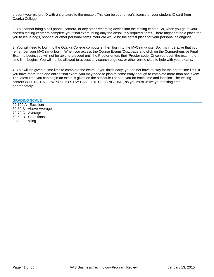present your picture ID with a signature to the proctor. This can be your driver's license or your student ID card from Ozarka College.

2. You cannot bring a cell phone, camera, or any other recording device into the testing center. So, when you go to your chosen testing center to complete your final exam, bring only the absolutely required items. There might not be a place for you to leave bags, phones, or other personal items. Your car would be the safest place for your personal belongings.

3. You will need to log in to the Ozarka College computers, then log in to the MyOzarka site. So, it is imperative that you remember your MyOzarka log in! When you access the Course Exams/Quiz page and click on the Comprehensive Final Exam to begin, you will not be able to proceed until the Proctor enters their Proctor code. Once you open the exam, the time limit begins. You will not be allowed to access any search engines, or other online sites to help with your exams.

4. You will be given a time limit to complete the exam. If you finish early, you do not have to stay for the entire time limit. If you have more than one online final exam, you may need to plan to come early enough to complete more than one exam. The latest time you can begin an exam is given on the schedule I sent to you for each time and location. The testing centers WILL NOT ALLOW YOU TO STAY PAST THE CLOSING TIME, so you must utilize your testing time appropriately.

#### **GRADING SCALE**

90-100 A - Excellent 80-89 B - Above Average 70-79 C - Average 60-69 D - Conditional 0-59 F - Failing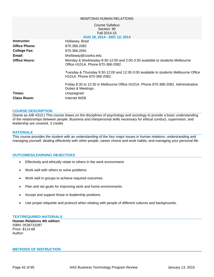#### MGMT2643 HUMAN RELATIONS

#### Course Syllabus Section: 90 Fall 2014-15 **AUG 18, 2014 - DEC 12, 2014**

| Instructor:          | Hollaway, Brad                                                                                                    |
|----------------------|-------------------------------------------------------------------------------------------------------------------|
| <b>Office Phone:</b> | 870.368.2082                                                                                                      |
| <b>College Fax:</b>  | 870.368.2091                                                                                                      |
| Email:               | bhollaway@ozarka.edu                                                                                              |
| <b>Office Hours:</b> | Monday & Wednesday 8:30-12:00 and 2:00-3:30 available to students Melbourne<br>Office H101A. Phone 870-368-2082.  |
|                      | Tuesday & Thursday 9:30-12:00 and 12:30-3:00 available to students Melbourne Office<br>H101A. Phone 870-368-2082. |
|                      | Friday 8:30 to 12:30 in Melbourne Office H101A. Phone 870-368-2082. Administrative<br>Duties & Meetings           |
| Times:               | Unassigned                                                                                                        |
| <b>Class Room:</b>   | Internet WEB                                                                                                      |

#### **COURSE DESCRIPTION**

(Same as AIB 4310.) This course draws on the disciplines of psychology and sociology to provide a basic understanding of the relationships between people. Business and interpersonal skills necessary for ethical conduct, supervision, and leadership are covered. 3 credits

#### **RATIONALE**

This course provides the student with an understanding of the four major issues in human relations: understanding and managing yourself, dealing effectively with other people, career choice and work habits, and managing your personal life.

#### **OUTCOMES/LEARNING OBJECTIVES**

- Effectively and ethically relate to others in the work environment.
- Work well with others to solve problems
- Work well in groups to achieve required outcomes.
- Plan and set goals for improving work and home environments.
- Accept and support those in leadership positions.
- Use proper etiquette and protocol when relating with people of different cultures and backgrounds.

#### **TEXT/REQUIRED MATERIALS**

**Human Relations 4th edition** ISBN: 0538731087 Price: \$114.68 Author:

#### **METHODS OF INSTRUCTION**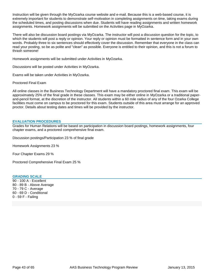Instruction will be given through the MyOzarka course website and e-mail. Because this is a web-based course, it is extremely important for students to demonstrate self-motivation in completing assignments on time, taking exams during the scheduled times, and posting discussions when due. Students will have reading assignments and written homework assignments. Homework assignments will be submitted on the Activities page in MyOzarka.

There will also be discussion board postings via MyOzarka. The instructor will post a discussion question for the topic, to which the students will post a reply or opinion. Your reply or opinion must be formatted in sentence form and in your own words. Probably three to six sentences should effectively cover the discussion. Remember that everyone in the class can read your posting, so be as polite and "clean" as possible. Everyone is entitled to their opinion, and this is not a forum to thrash someone!

Homework assignments will be submitted under Activities in MyOzarka.

Discussions will be posted under Activities in MyOzarka.

Exams will be taken under Activities in MyOzarka.

Proctored Final Exam

All online classes in the Business Technology Department will have a mandatory proctored final exam. This exam will be approximately 25% of the final grade in these classes. This exam may be either online in MyOzarka or a traditional paperand-pencil format, at the discretion of the instructor. All students within a 60 mile radius of any of the four Ozarka College facilities must come on campus to be proctored for this exam. Students outside of this area must arrange for an approved proctor. Details about testing dates and times will be provided by the instructor.

#### **EVALUATION PROCEDURES**

Grades for Human Relations will be based on participation in discussion board postings, homework assignments, four chapter exams, and a proctored comprehensive final exam.

Discussion postings/Participation 23 % of final grade

Homework Assignments 23 %

Four Chapter Exams 29 %

Proctored Comprehensive Final Exam 25 %

#### **GRADING SCALE**

90 - 100 A - Excellent 80 - 89 B - Above Average 70 - 79 C - Average 60 - 69 D - Conditional 0 - 59 F - Failing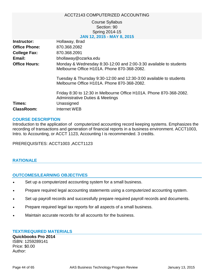## ACCT2143 COMPUTERIZED ACCOUNTING

## Course Syllabus Section: 90 Spring 2014-15 **JAN 12, 2015 - MAY 8, 2015**

| Instructor:                 | Hollaway, Brad                                                                                                     |
|-----------------------------|--------------------------------------------------------------------------------------------------------------------|
| <b>Office Phone:</b>        | 870.368.2082                                                                                                       |
| <b>College Fax:</b>         | 870.368.2091                                                                                                       |
| Email:                      | bhollaway@ozarka.edu                                                                                               |
| <b>Office Hours:</b>        | Monday & Wednesday 8:30-12:00 and 2:00-3:30 available to students<br>Melbourne Office H101A, Phone 870-368-2082.   |
|                             | Tuesday & Thursday 9:30-12:00 and 12:30-3:00 available to students<br>Melbourne Office H101A. Phone 870-368-2082.  |
|                             | Friday 8:30 to 12:30 in Melbourne Office H101A. Phone 870-368-2082.<br><b>Administrative Duties &amp; Meetings</b> |
| Times:<br><b>ClassRoom:</b> | Unassigned<br>Internet WEB                                                                                         |

## **COURSE DESCRIPTION**

Introduction to the application of computerized accounting record keeping systems. Emphasizes the recording of transactions and generation of financial reports in a business environment. ACCT1003, Intro. to Accounting, or ACCT 1123, Accounting I is recommended. 3 credits.

PREREQUISITES: ACCT1003 ,ACCT1123

## **RATIONALE**

## **OUTCOMES/LEARNING OBJECTIVES**

- Set up a computerized accounting system for a small business.
- Prepare required legal accounting statements using a computerized accounting system.
- Set up payroll records and successfully prepare required payroll records and documents.
- Prepare required legal tax reports for all aspects of a small business.
- Maintain accurate records for all accounts for the business.

## **TEXT/REQUIRED MATERIALS**

**Quickbooks Pro 2014** ISBN: 1259289141 Price: \$0.00 Author: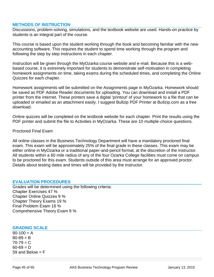## **METHODS OF INSTRUCTION**

Discussions, problem-solving, simulations, and the textbook website are used. Hands-on practice by students is an integral part of the course.

This course is based upon the student working through the book and becoming familiar with the new accounting software. This requires the student to spend time working through the program and following the step by step instructions in each chapter.

Instruction will be given through the MyOzarka course website and e-mail. Because this is a webbased course, it is extremely important for students to demonstrate self-motivation in completing homework assignments on time, taking exams during the scheduled times, and completing the Online Quizzes for each chapter.

Homework assignments will be submitted on the Assignments page in MyOzarka. Homework should be saved as PDF Adobe Reader documents for uploading. You can download and install a PDF printer from the internet. These printers save a digital 'printout' of your homework to a file that can be uploaded or emailed as an attachment easily. I suggest Bullzip PDF Printer at Bullzip.com as a free download.

Online quizzes will be completed on the textbook website for each chapter. Print the results using the PDF printer and submit the file to Activities in MyOzarka. These are 10 multiple-choice questions.

## Proctored Final Exam

All online classes in the Business Technology Department will have a mandatory proctored final exam. This exam will be approximately 25% of the final grade in these classes. This exam may be either online in MyOzarka or a traditional paper-and-pencil format, at the discretion of the instructor. All students within a 60 mile radius of any of the four Ozarka College facilities must come on campus to be proctored for this exam. Students outside of this area must arrange for an approved proctor. Details about testing dates and times will be provided by the instructor.

## **EVALUATION PROCEDURES**

Grades will be determined using the following criteria: Chapter Exercises 47 % Chapter Online Quizzes 9 % Chapter Theory Exams 19 % Final Problem Exam 16 % Comprehensive Theory Exam 9 %

## **GRADING SCALE**

 $90-100 = A$  $80 - 89 = B$  $70 - 79 = C$  $60 - 69 = D$ 59 and Below  $=$  F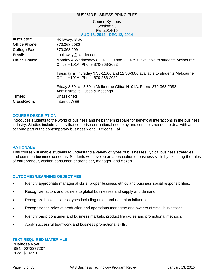|                      | <b>BUS2613 BUSINESS PRINCIPLES</b>                                                                                |
|----------------------|-------------------------------------------------------------------------------------------------------------------|
|                      | <b>Course Syllabus</b><br>Section: 90<br>Fall 2014-15<br>AUG 18, 2014 - DEC 12, 2014                              |
| Instructor:          | Hollaway, Brad                                                                                                    |
| <b>Office Phone:</b> | 870.368.2082                                                                                                      |
| College Fax:         | 870.368.2091                                                                                                      |
| Email:               | bhollaway@ozarka.edu                                                                                              |
| <b>Office Hours:</b> | Monday & Wednesday 8:30-12:00 and 2:00-3:30 available to students Melbourne<br>Office H101A. Phone 870-368-2082.  |
|                      | Tuesday & Thursday 9:30-12:00 and 12:30-3:00 available to students Melbourne<br>Office H101A. Phone 870-368-2082. |
|                      | Friday 8:30 to 12:30 in Melbourne Office H101A. Phone 870-368-2082.<br>Administrative Duties & Meetings           |
| Times:               | Unassigned                                                                                                        |
| <b>ClassRoom:</b>    | Internet WEB                                                                                                      |
|                      |                                                                                                                   |

## **COURSE DESCRIPTION**

Introduces students to the world of business and helps them prepare for beneficial interactions in the business industry. Studies include factors that comprise our national economy and concepts needed to deal with and become part of the contemporary business world. 3 credits. Fall

#### **RATIONALE**

This course will enable students to understand a variety of types of businesses, typical business strategies, and common business concerns. Students will develop an appreciation of business skills by exploring the roles of entrepreneur, worker, consumer, shareholder, manager, and citizen.

## **OUTCOMES/LEARNING OBJECTIVES**

- Identify appropriate managerial skills, proper business ethics and business social responsibilities.
- Recognize factors and barriers to global businesses and supply and demand.
- Recognize basic business types including union and nonunion influence.
- Recognize the roles of production and operations managers and owners of small businesses.
- Identify basic consumer and business markets, product life cycles and promotional methods.
- Apply successful teamwork and business promotional skills.

## **TEXT/REQUIRED MATERIALS**

**Business Now** ISBN: 0073377287 Price: \$102.91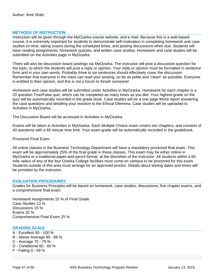## **METHODS OF INSTRUCTION**

Instruction will be given through the MyOzarka course website, and e-mail. Because this is a web-based course, it is extremely important for students to demonstrate self-motivation in completing homework and case studies on time, taking exams during the scheduled times, and posting discussions when due. Students will have reading assignments, homework quizzes, and written case studies. Homework and case studies will be submitted on the Activities page in MyOzarka.

There will also be discussion board postings via MyOzarka. The instructor will post a discussion question for the topic, to which the students will post a reply or opinion. Your reply or opinion must be formatted in sentence form and in your own words. Probably three to six sentences should effectively cover the discussion. Remember that everyone in the class can read your posting, so be as polite and "clean" as possible. Everyone is entitled to their opinion, and this is not a forum to thrash someone!

Homework and case studies will be submitted under Activities in MyOzarka. Homework for each chapter is a 20 question True/False quiz, which can be completed as many times as you like. Your highest grade on the quiz will be automatically recorded in the grade book. Case studies will be a one page Word report answering the case questions and detailing your reaction to the Ethical Dilemma. Case studies will be uploaded to Activities in MyOzarka.

The Discussion Board will be accessed in Activities in MyOzarka.

Exams will be taken in Activities in MyOzarka. Each Multiple Choice exam covers two chapters, and consists of 40 questions with a 60 minute time limit. Your exam grade will be automatically recorded in the gradebook.

Proctored Final Exam

All online classes in the Business Technology Department will have a mandatory proctored final exam. This exam will be approximately 25% of the final grade in these classes. This exam may be either online in MyOzarka or a traditional paper-and-pencil format, at the discretion of the instructor. All students within a 60 mile radius of any of the four Ozarka College facilities must come on campus to be proctored for this exam. Students outside of this area must arrange for an approved proctor. Details about testing dates and times will be provided by the instructor.

#### **EVALUATION PROCEDURES**

Grades for Business Principles will be based on homework, case studies, discussions, five chapter exams, and a comprehensive final exam.

Homework Assignments 15 % of Final Grade Case Studies 13 % Discussions 15 % Exams 32 % Comprehensive Final Exam 25 %

## **GRADING SCALE**

- A Excellent 90 100 %
- B Above Average 80 89 %
- C Average 70 79 %
- D Conditional 60 69 %
- F Failing 0 59 %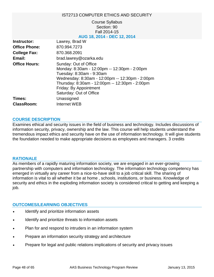## IST2713 COMPUTER ETHICS AND SECURITY

## Course Syllabus Section: 90 Fall 2014-15 **AUG 18, 2014 - DEC 12, 2014**

| Instructor:          | Lawrey, Brad W                                                                                                                                                                                                                                              |
|----------------------|-------------------------------------------------------------------------------------------------------------------------------------------------------------------------------------------------------------------------------------------------------------|
| <b>Office Phone:</b> | 870.994.7273                                                                                                                                                                                                                                                |
| <b>College Fax:</b>  | 870.368.2091                                                                                                                                                                                                                                                |
| Email:               | brad.lawrey@ozarka.edu                                                                                                                                                                                                                                      |
| <b>Office Hours:</b> | Sunday: Out of Office<br>Monday: 8:30am - 12:00pm -- 12:30pm - 2:00pm<br>Tuesday: 8:30am - 9:30am<br>Wednesday: 8:30am - 12:00pm -- 12:30pm - 2:00pm<br>Thursday: 8:30am - 12:00pm -- 12:30pm - 2:00pm<br>Friday: By Appointment<br>Saturday: Out of Office |
| Times:               | Unassigned                                                                                                                                                                                                                                                  |
| ClassRoom:           | Internet WEB                                                                                                                                                                                                                                                |

## **COURSE DESCRIPTION**

Examines ethical and security issues in the field of business and technology. Includes discussions of information security, privacy, ownership and the law. This course will help students understand the tremendous impact ethics and security have on the use of information technology. It will give students the foundation needed to make appropriate decisions as employees and managers. 3 credits

## **RATIONALE**

As members of a rapidly maturing information society, we are engaged in an ever-growing partnership with computers and information technology. The information technology competency has emerged in virtually any career from a nice-to-have skill to a job critical skill. The sharing of information is vital to all whether it be at home , schools, institutions, or business. Knowledge of security and ethics in the exploding information society is considered critical to getting and keeping a job.

## **OUTCOMES/LEARNING OBJECTIVES**

- Identify and prioritize information assets
- Identify and prioritize threats to information assets
- Plan for and respond to intruders in an information system
- Prepare an information security strategy and architecture
- Prepare for legal and public relations implications of security and privacy issues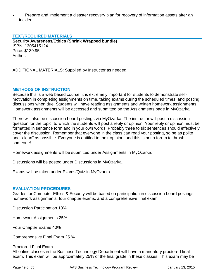• Prepare and implement a disaster recovery plan for recovery of information assets after an incident

## **TEXT/REQUIRED MATERIALS**

**Security Awareness/Ethics (Shrink Wrapped bundle)** ISBN: 1305415124 Price: \$139.95 Author:

ADDITIONAL MATERIALS: Supplied by Instructor as needed.

## **METHODS OF INSTRUCTION**

Because this is a web based course, it is extremely important for students to demonstrate selfmotivation in completing assignments on time, taking exams during the scheduled times, and posting discussions when due. Students will have reading assignments and written homework assignments. Homework assignments will be accessed and submitted on the Assignments page in MyOzarka.

There will also be discussion board postings via MyOzarka. The instructor will post a discussion question for the topic, to which the students will post a reply or opinion. Your reply or opinion must be formatted in sentence form and in your own words. Probably three to six sentences should effectively cover the discussion. Remember that everyone in the class can read your posting, so be as polite and "clean" as possible. Everyone is entitled to their opinion, and this is not a forum to thrash someone!

Homework assignments will be submitted under Assignments in MyOzarka.

Discussions will be posted under Discussions in MyOzarka.

Exams will be taken under Exams/Quiz in MyOzarka.

## **EVALUATION PROCEDURES**

Grades for Computer Ethics & Security will be based on participation in discussion board postings, homework assignments, four chapter exams, and a comprehensive final exam.

Discussion Participation 10%

Homework Assignments 25%

Four Chapter Exams 40%

Comprehensive Final Exam 25 %

### Proctored Final Exam

All online classes in the Business Technology Department will have a mandatory proctored final exam. This exam will be approximately 25% of the final grade in these classes. This exam may be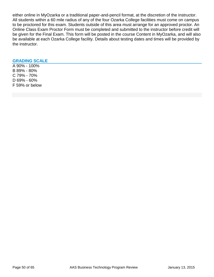either online in MyOzarka or a traditional paper-and-pencil format, at the discretion of the instructor. All students within a 60 mile radius of any of the four Ozarka College facilities must come on campus to be proctored for this exam. Students outside of this area must arrange for an approved proctor. An Online Class Exam Proctor Form must be completed and submitted to the instructor before credit will be given for the Final Exam. This form will be posted in the course Content in MyOzarka, and will also be available at each Ozarka College facility. Details about testing dates and times will be provided by the instructor.

## **GRADING SCALE**

A 90% - 100% B 89% - 80% C 79% - 70% D 69% - 60% F 59% or below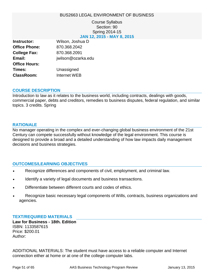## BUS2663 LEGAL ENVIRONMENT OF BUSINESS

## Course Syllabus Section: 90 Spring 2014-15 **JAN 12, 2015 - MAY 8, 2015**

| Instructor:          | Wilson, Joshua D   |
|----------------------|--------------------|
| <b>Office Phone:</b> | 870.368.2042       |
| <b>College Fax:</b>  | 870.368.2091       |
| Email:               | jwilson@ozarka.edu |
| <b>Office Hours:</b> |                    |
| Times:               | Unassigned         |
| <b>ClassRoom:</b>    | Internet WEB       |

## **COURSE DESCRIPTION**

Introduction to law as it relates to the business world, including contracts, dealings with goods, commercial paper, debts and creditors, remedies to business disputes, federal regulation, and similar topics. 3 credits. Spring

## **RATIONALE**

No manager operating in the complex and ever-changing global business environment of the 21st Century can compete successfully without knowledge of the legal environment. This course is designed to provide a broad and a detailed understanding of how law impacts daily management decisions and business strategies.

## **OUTCOMES/LEARNING OBJECTIVES**

- Recognize differences and components of civil, employment, and criminal law.
- Identify a variety of legal documents and business transactions.
- Differentiate between different courts and codes of ethics.
- Recognize basic necessary legal components of Wills, contracts, business organizations and agencies.

## **TEXT/REQUIRED MATERIALS**

**Law for Business - 18th. Edition** ISBN: 1133587615 Price: \$200.01 Author:

ADDITIONAL MATERIALS: The student must have access to a reliable computer and Internet connection either at home or at one of the college computer labs.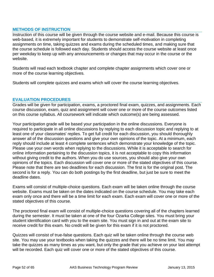## **METHODS OF INSTRUCTION**

Instruction of this course will be given through the course website and e-mail. Because this course is web-based, it is extremely important for students to demonstrate self-motivation in completing assignments on time, taking quizzes and exams during the scheduled times, and making sure that the course schedule is followed each day. Students should access the course website at least once per weekday to keep up with any announcements or changes that may occur in the course or the website.

Students will read each textbook chapter and complete chapter assignments which cover one or more of the course learning objectives.

Students will complete quizzes and exams which will cover the course learning objectives.

## **EVALUATION PROCEDURES**

Grades will be given for participation, exams, a proctored final exam, quizzes, and assignments. Each course discussion, exam, quiz and assignment will cover one or more of the course outcomes listed on this course syllabus. All coursework will indicate which outcome(s) are being assessed.

Your participation grade will be based your participation in the online discussions. Everyone is required to participate in all online discussions by replying to each discussion topic and replying to at least one of your classmates' replies. To get full credit for each discussion, you should thoroughly answer all of the discussion questions and give your own opinions of the topic. At a minimum, each reply should include at least 4 complete sentences which demonstrate your knowledge of the topic. Please use your own words when replying to the discussions. While it is acceptable to search for online information pertaining to the discussion topics, it is not acceptable to copy this information without giving credit to the authors. When you do use sources, you should also give your own opinions of the topics. Each discussion will cover one or more of the stated objectives of this course. Please note that there are two deadlines for each discussion. The first is for the original post. The second is for a reply. You can do both postings by the first deadline, but just be sure to meet the deadline dates.

Exams will consist of multiple-choice questions. Each exam will be taken online through the course website. Exams must be taken on the dates indicated on the course schedule. You may take each exam only once and there will be a time limit for each exam. Each exam will cover one or more of the stated objectives of this course.

The proctored final exam will consist of multiple-choice questions covering all of the chapters learned during the semester. It must be taken at one of the four Ozarka College sites. You must bring your student identification card with you to the exam site. You must sign in and out at the exam site to receive credit for this exam. No credit will be given for this exam if it is not proctored.

Quizzes will consist of true-false questions. Each quiz will be taken online through the course web site. You may use your textbooks when taking the quizzes and there will be no time limit. You may take the quizzes as many times as you want, but only the grade that you achieve on your last attempt will be recorded. Each quiz will cover one or more of the stated objectives of this course.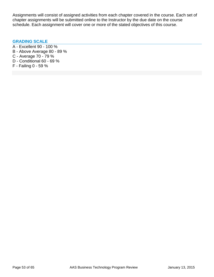Assignments will consist of assigned activities from each chapter covered in the course. Each set of chapter assignments will be submitted online to the Instructor by the due date on the course schedule. Each assignment will cover one or more of the stated objectives of this course.

## **GRADING SCALE**

- A Excellent 90 100 %
- B Above Average 80 89 %
- C Average 70 79 %
- D Conditional 60 69 %
- F Failing 0 59 %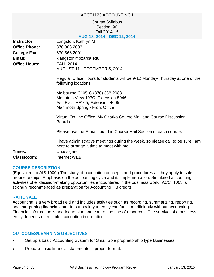## ACCT1123 ACCOUNTING I

## Course Syllabus Section: 90 Fall 2014-15 **AUG 18, 2014 - DEC 12, 2014**

| Instructor:<br><b>Office Phone:</b> | Langston, Kathryn M<br>870.368.2083                                                                                                                            |
|-------------------------------------|----------------------------------------------------------------------------------------------------------------------------------------------------------------|
| <b>College Fax:</b>                 | 870.368.2091                                                                                                                                                   |
| Email:                              | klangston@ozarka.edu                                                                                                                                           |
| <b>Office Hours:</b>                | <b>FALL 2014</b><br>AUGUST 11 - DECEMBER 5, 2014                                                                                                               |
|                                     | Regular Office Hours for students will be 9-12 Monday-Thursday at one of the<br>following locations:                                                           |
|                                     | Melbourne C105-C (870) 368-2083<br>Mountain View 107C, Extension 5046<br>Ash Flat - AF105, Extension 4005<br>Mammoth Spring - Front Office                     |
|                                     | Virtual On-line Office: My Ozarka Course Mail and Course Discussion<br>Boards.                                                                                 |
|                                     | Please use the E-mail found in Course Mail Section of each course.                                                                                             |
| Times:<br><b>ClassRoom:</b>         | I have administrative meetings during the week, so please call to be sure I am<br>here to arrange a time to meet with me.<br>Unassigned<br><b>Internet WEB</b> |

## **COURSE DESCRIPTION**

(Equivalent to AIB 1000.) The study of accounting concepts and procedures as they apply to sole proprietorships. Emphasis on the accounting cycle and its implementation. Simulated accounting activities offer decision-making opportunities encountered in the business world. ACCT1003 is strongly recommended as preparation for Accounting I. 3 credits.

## **RATIONALE**

Accounting is a very broad field and includes activities such as recording, summarizing, reporting, and interpreting financial data. In our society to entity can function efficiently without accounting. Financial information is needed to plan and control the use of resources. The survival of a business entity depends on reliable accounting information.

## **OUTCOMES/LEARNING OBJECTIVES**

- Set up a basic Accounting System for Small Sole proprietorship type Businesses.
- Prepare basic financial statements in proper format.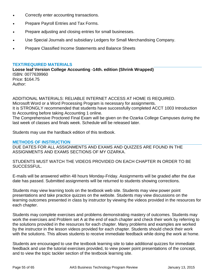- Correctly enter accounting transactions.
- Prepare Payroll Entries and Tax Forms.
- Prepare adjusting and closing entries for small businesses.
- Use Special Journals and subsidiary Ledgers for Small Merchandising Company.
- Prepare Classified Income Statements and Balance Sheets

## **TEXT/REQUIRED MATERIALS**

**Loose leaf Version College Accounting -14th. edition (Shrink Wrapped)** ISBN: 0077639960 Price: \$164.75 Author:

ADDITIONAL MATERIALS: RELIABLE INTERNET ACCESS AT HOME IS REQUIRED. Microsoft Word or a Word Processing Program is necessary for assignments. It is STRONGLY recommended that students have successfully completed ACCT 1003 Introduction to Accounting before taking Accounting 1 online. The Comprehensive Proctored Final Exam will be given on the Ozarka College Campuses during the last week of classes and finals week. Schedule will be released later.

Students may use the hardback edition of this textbook.

## **METHODS OF INSTRUCTION**

DUE DATES FOR ALL ASSIGNMENTS AND EXAMS AND QUIZZES ARE FOUND IN THE ASSIGNMENTS AND EXAMS SECTIONS OF MY OZARKA.

STUDENTS MUST WATCH THE VIDEOS PROVIDED ON EACH CHAPTER IN ORDER TO BE SUCCESSFUL.

E-mails will be answered within 48 hours Monday-Friday. Assignments will be graded after the due date has passed. Submitted assignments will be returned to students showing corrections.

Students may view learning tools on the textbook web site. Students may view power point presentations and take practice quizzes on the website. Students may view discussions on the learning outcomes presented in class by instructor by viewing the videos provided in the resources for each chapter.

Students may complete exercises and problems demonstrating mastery of outcomes. Students may work the exercises and Problem set A at the end of each chapter and check their work by referring to the solutions provided in the resources for each chapter. Many problems and examples are worked by the instructor in the lesson videos provided for each chapter. Students should check their work with the solutions. This allows students to receive immediate feedback while doing the work at home.

Students are encouraged to use the textbook learning site to take additional quizzes for immediate feedback and use the tutorial exercises provided, to view power point presentations of the concept, and to view the topic tackler section of the textbook learning site.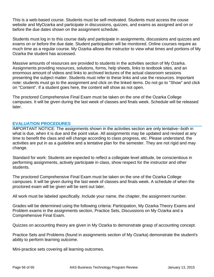This is a web-based course. Students must be self-motivated. Students must access the couse website and MyOzarka and participate in discussions, quizzes, and exams as assigned and on or before the due dates shown on the assignment schedule.

Students must log in to this course daily and participate in assignments, discussions and quizzes and exams on or before the due date. Student participation will be monitored. Online courses require as much time as a regular course. My Ozarka allows the instructor to view what times and portions of My Ozarka the student has accessed.

Massive amounts of resources are provided to students in the activities section of My Ozarka. Assignments providing resources, solutions, forms, help sheets, links to textbook sites, and an enormous amount of videos and links to archived lectures of the actual classroom sessions presenting the subject matter. Students must refer to these links and use the resources. Important note: students must go to the assignment and click on the linked items. Do not go to "Show" and click on "Content". If a student goes here, the content will show as not open.

The proctored Comprehensive Final Exam must be taken on the one of the Ozarka College campuses. It will be given during the last week of classes and finals week. Schedule will be released later.

## **EVALUATION PROCEDURES**

IMPORTANT NOTICE: The assignments shown in the activities section are only tentative--both in what is due, when it is due and the point value. All assignments may be updated and revised at any time to benefit the class and will change according to class progress, etc. Please understand, the activities are put in as a guideline and a tentative plan for the semester. They are not rigid and may change.

Standard for work: Students are expected to reflect a collegiate level attitude, be conscientious in performing assignments, actively participate in class, show respect for the instructor and other students.

The proctored Comprehensive Final Exam must be taken on the one of the Ozarka College campuses. It will be given during the last week of classes and finals week. A schedule of when the proctored exam will be given will be sent out later.

All work must be labeled specifically. Include your name, the chapter, the assignment number.

Grades will be determined using the following criteria: Participation, My Ozarka Theory Exams and Problem exams in the assignments section, Practice Sets, Discussions on My Ozarka and a Comprehensive Final Exam.

Quizzes on accounting theory are given in My Ozarka to demonstrate grasp of accounting concept.

Practice Sets and Problems (found in assignments section of My Ozarka) demonstrate the student's ability to perform learning outcome.

Mini-practice sets covering all learning outcomes.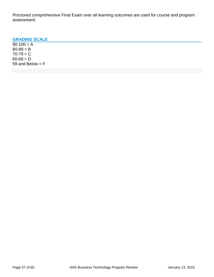Proctored comprehensive Final Exam over all learning outcomes are used for course and program assessment.

## **GRADING SCALE**

 $90-100 = A$  $80 - 89 = B$  $70 - 79 = C$  $60 - 69 = D$ 59 and Below  $=$   $F$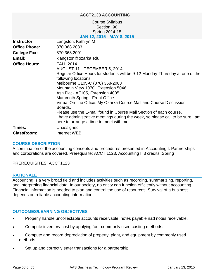## ACCT2133 ACCOUNTING II

## Course Syllabus Section: 90 Spring 2014-15 **JAN 12, 2015 - MAY 8, 2015**

| Instructor:          | Langston, Kathryn M                                                            |
|----------------------|--------------------------------------------------------------------------------|
| <b>Office Phone:</b> | 870.368.2083                                                                   |
| <b>College Fax:</b>  | 870.368.2091                                                                   |
| Email:               | klangston@ozarka.edu                                                           |
| <b>Office Hours:</b> | <b>FALL 2014</b>                                                               |
|                      | AUGUST 11 - DECEMBER 5, 2014                                                   |
|                      | Regular Office Hours for students will be 9-12 Monday-Thursday at one of the   |
|                      | following locations:                                                           |
|                      | Melbourne C105-C (870) 368-2083                                                |
|                      | Mountain View 107C, Extension 5046                                             |
|                      | Ash Flat - AF105, Extension 4005                                               |
|                      | Mammoth Spring - Front Office                                                  |
|                      | Virtual On-line Office: My Ozarka Course Mail and Course Discussion<br>Boards. |
|                      | Please use the E-mail found in Course Mail Section of each course.             |
|                      | I have administrative meetings during the week, so please call to be sure I am |
|                      | here to arrange a time to meet with me.                                        |
| Times:               | Unassigned                                                                     |
| <b>ClassRoom:</b>    | Internet WEB                                                                   |

## **COURSE DESCRIPTION**

A continuation of the accounting concepts and procedures presented in Accounting I. Partnerships and corporations are covered. Prerequisite: ACCT 1123, Accounting I. 3 credits .Spring

PREREQUISITES: ACCT1123

## **RATIONALE**

Accounting is a very broad field and includes activities such as recording, summarizing, reporting, and interpreting financial data. In our society, no entity can function efficiently without accounting. Financial information is needed to plan and control the use of resources. Survival of a business depends on reliable accounting information.

## **OUTCOMES/LEARNING OBJECTIVES**

- Properly handle uncollectable accounts receivable, notes payable nad notes receivable.
- Compute inventory cost by applying four commonly used costing methods.
- Compute and record depreciation of property, plant, and equipment by commonly used methods.
- Set up and correctly enter transactions for a partnership.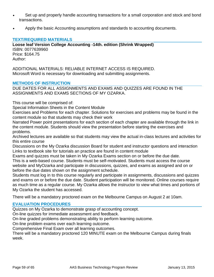- Set up and properly handle accounting transactions for a small corporation and stock and bond transactions.
- Apply the basic Accounting assumptions and standards to accounting documents.

## **TEXT/REQUIRED MATERIALS**

**Loose leaf Version College Accounting -14th. edition (Shrink Wrapped)** ISBN: 0077639960 Price: \$164.75 Author:

ADDITIONAL MATERIALS: RELIABLE INTERNET ACCESS IS REQUIRED. Microsoft Word is necessary for downloading and submitting assignments.

## **METHODS OF INSTRUCTION**

DUE DATES FOR ALL ASSIGNMENTS AND EXAMS AND QUIZZES ARE FOUND IN THE ASSIGNMENTS AND EXAMS SECTIONS OF MY OZARKA.

This course will be comprised of:

Special Information Sheets in the Content Module

Exercises and Problems for each chapter. Solutions for exercises and problems may be found in the content module so that students may check their work

Narrated Power point presentations for each section of each chapter are available through the link in the content module. Students should view the presentation before starting the exercises and problems.

Archived lectures are available so that students may view the actual in-class lectures and activities for this entire course

Discussions on the My Ozarka discussion Board for student and instructor questions and interaction Links to textbook site for tutorials an practice are found in content module

Exams and quizzes must be taken in My Ozarka Exams section on or before the due date.

This is a web-based course. Students must be self-motivated. Students must access the course website and MyOzarka and participate in discussions, quizzes, and exams as assigned and on or before the due dates shown on the assignment schedule.

Students must log in to this course regularly and participate in assignments, discussions and quizzes and exams on or before the due date. Student participation will be monitored. Online courses require as much time as a regular course. My Ozarka allows the instructor to view what times and portions of My Ozarka the student has accessed.

There will be a mandatory proctored exam on the Melbourne Campus on August 2 at 10am.

## **EVALUATION PROCEDURES**

Quizzes on My Ozarka to demonstrate grasp of accounting concept.

On-line quizzes for immediate assessment and feedback.

On-line graded problems demonstrating ability to perform learning outcome.

On-line problem exams over each learning outcome.

Comprehensive Final Exam over all learning outcomes.

There will be a mandatory proctored 120 MINUTE exam on the Melbourne Campus during finals week.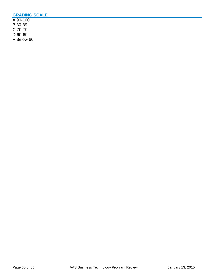## **GRADING SCALE**

A 90-100 B 80-89 C 70-79 D 60-69 F Below 60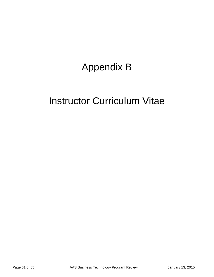# Appendix B

## Instructor Curriculum Vitae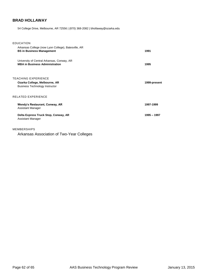## **BRAD HOLLAWAY**

54 College Drive, Melbourne, AR 72556 | (870) 368-2082 | bhollaway@ozarka.edu

| <b>EDUCATION</b>                                                                              |              |
|-----------------------------------------------------------------------------------------------|--------------|
| Arkansas College (now Lyon College), Batesville, AR<br><b>BS in Business Management</b>       | 1991         |
| University of Central Arkansas, Conway, AR<br><b>MBA in Business Administration</b>           | 1995         |
| TEACHING EXPERIENCE<br>Ozarka College, Melbourne, AR<br><b>Business Technology Instructor</b> | 1999-present |
| RELATED EXPERIENCE                                                                            |              |
| Wendy's Restaurant, Conway, AR<br>Assistant Manager                                           | 1997-1999    |
| Delta Express Truck Stop, Conway, AR<br>Assistant Manager                                     | 1995 - 1997  |
|                                                                                               |              |

#### MEMBERSHIPS

Arkansas Association of Two-Year Colleges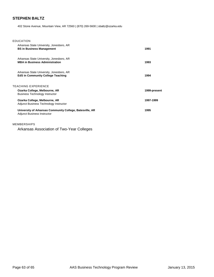## **STEPHEN BALTZ**

402 Stone Avenue, Mountain View, AR 72560 | (870) 269-5600 | sbaltz@ozarka.edu

| EDUCATION                                                                                      |              |
|------------------------------------------------------------------------------------------------|--------------|
| Arkansas State University, Jonesboro, AR<br><b>BS in Business Management</b>                   | 1991         |
| Arkansas State University, Jonesboro, AR<br><b>MBA in Business Administration</b>              | 1993         |
| Arkansas State University, Jonesboro, AR<br><b>EdS in Community College Teaching</b>           | 1994         |
| TEACHING EXPERIENCE                                                                            |              |
| Ozarka College, Melbourne, AR<br><b>Business Technology Instructor</b>                         | 1999-present |
| Ozarka College, Melbourne, AR<br>Adjunct Business Technology Instructor                        | 1997-1999    |
| University of Arkansas Community College, Batesville, AR<br><b>Adjunct Business Instructor</b> | 1995         |

#### MEMBERSHIPS

Arkansas Association of Two-Year Colleges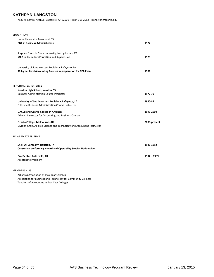## **KATHRYN LANGSTON**

7533 N. Central Avenue, Batesville, AR 72501 | (870) 368-2083 | klangston@ozarka.edu

| EDUCATION                                                                                                             |              |
|-----------------------------------------------------------------------------------------------------------------------|--------------|
| Lamar University, Beaumont, TX<br><b>BBA in Business Administration</b>                                               | 1972         |
| Stephen F. Austin State University, Nacogdoches, TX<br>MED in Secondary Education and Supervision                     | 1979         |
| University of Southwestern Louisiana, Lafayette, LA<br>30 higher level Accounting Courses in preparation for CPA Exam | 1981         |
|                                                                                                                       |              |
| <b>TEACHING EXPERIENCE</b>                                                                                            |              |
| Newton High School, Newton, TX<br><b>Business Administration Course Instructor</b>                                    | 1972 79      |
|                                                                                                                       |              |
| University of Southwestern Louisiana, Lafayette, LA                                                                   | 1980-85      |
| Full-time Business Administration Course Instructor                                                                   |              |
| <b>UACCB</b> and Ozarka College in Arkansas                                                                           | 1999-2000    |
| Adjunct Instructor for Accounting and Business Courses                                                                |              |
| Ozarka College, Melbourne, AR                                                                                         | 2000-present |
| Division Chair, Applied Science and Technology and Accounting Instructor                                              |              |
| <b>RELATED EXPERIENCE</b>                                                                                             |              |
| Shell Oil Company, Houston, TX<br><b>Consultant performing Hazard and Operability Studies Nationwide</b>              | 1986-1992    |
|                                                                                                                       |              |
| Pro-Dentec, Batesville, AR                                                                                            | 1994 - 1999  |
| <b>Assistant to President</b>                                                                                         |              |
| <b>MEMBERSHIPS</b>                                                                                                    |              |

Arkansas Association of Two-Year Colleges Association for Business and Technology for Community Colleges Teachers of Accounting at Two Year Colleges